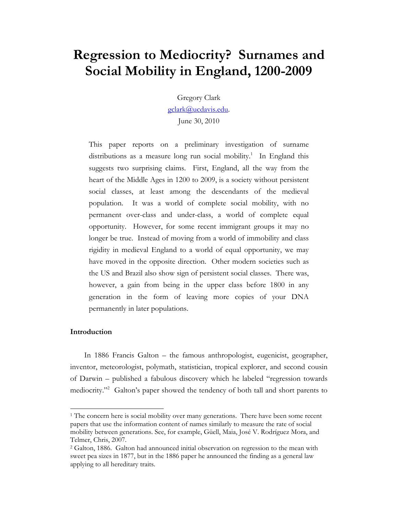# **Regression to Mediocrity? Surnames and Social Mobility in England, 1200-2009**

Gregory Clark

gclark@ucdavis.edu.

June 30, 2010

This paper reports on a preliminary investigation of surname distributions as a measure long run social mobility.<sup>1</sup> In England this suggests two surprising claims. First, England, all the way from the heart of the Middle Ages in 1200 to 2009, is a society without persistent social classes, at least among the descendants of the medieval population. It was a world of complete social mobility, with no permanent over-class and under-class, a world of complete equal opportunity. However, for some recent immigrant groups it may no longer be true. Instead of moving from a world of immobility and class rigidity in medieval England to a world of equal opportunity, we may have moved in the opposite direction. Other modern societies such as the US and Brazil also show sign of persistent social classes. There was, however, a gain from being in the upper class before 1800 in any generation in the form of leaving more copies of your DNA permanently in later populations.

### **Introduction**

 $\overline{a}$ 

In 1886 Francis Galton – the famous anthropologist, eugenicist, geographer, inventor, meteorologist, polymath, statistician, tropical explorer, and second cousin of Darwin – published a fabulous discovery which he labeled "regression towards mediocrity."<sup>2</sup> Galton's paper showed the tendency of both tall and short parents to

<sup>&</sup>lt;sup>1</sup> The concern here is social mobility over many generations. There have been some recent papers that use the information content of names similarly to measure the rate of social mobility between generations. See, for example, Güell, Maia, José V. Rodríguez Mora, and Telmer, Chris, 2007.

<sup>2</sup> Galton, 1886. Galton had announced initial observation on regression to the mean with sweet pea sizes in 1877, but in the 1886 paper he announced the finding as a general law applying to all hereditary traits.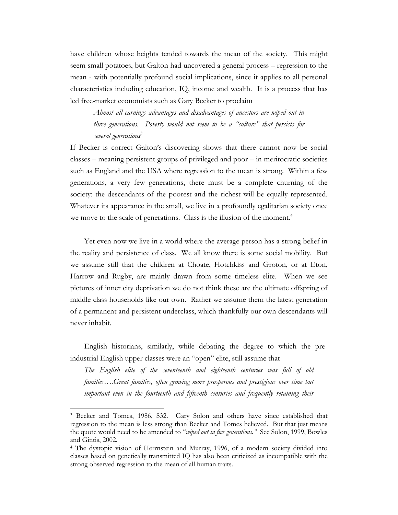have children whose heights tended towards the mean of the society. This might seem small potatoes, but Galton had uncovered a general process – regression to the mean - with potentially profound social implications, since it applies to all personal characteristics including education, IQ, income and wealth. It is a process that has led free-market economists such as Gary Becker to proclaim

*Almost all earnings advantages and disadvantages of ancestors are wiped out in three generations. Poverty would not seem to be a "culture" that persists for several generations3* 

If Becker is correct Galton's discovering shows that there cannot now be social classes – meaning persistent groups of privileged and poor – in meritocratic societies such as England and the USA where regression to the mean is strong. Within a few generations, a very few generations, there must be a complete churning of the society: the descendants of the poorest and the richest will be equally represented. Whatever its appearance in the small, we live in a profoundly egalitarian society once we move to the scale of generations. Class is the illusion of the moment.<sup>4</sup>

Yet even now we live in a world where the average person has a strong belief in the reality and persistence of class. We all know there is some social mobility. But we assume still that the children at Choate, Hotchkiss and Groton, or at Eton, Harrow and Rugby, are mainly drawn from some timeless elite. When we see pictures of inner city deprivation we do not think these are the ultimate offspring of middle class households like our own. Rather we assume them the latest generation of a permanent and persistent underclass, which thankfully our own descendants will never inhabit.

 English historians, similarly, while debating the degree to which the preindustrial English upper classes were an "open" elite, still assume that

*The English elite of the seventeenth and eighteenth centuries was full of old families….Great families, often growing more prosperous and prestigious over time but important even in the fourteenth and fifteenth centuries and frequently retaining their* 

<sup>3</sup> Becker and Tomes, 1986, S32. Gary Solon and others have since established that regression to the mean is less strong than Becker and Tomes believed. But that just means the quote would need to be amended to "*wiped out in five generations."* See Solon, 1999, Bowles and Gintis, 2002.

<sup>4</sup> The dystopic vision of Herrnstein and Murray, 1996, of a modern society divided into classes based on genetically transmitted IQ has also been criticized as incompatible with the strong observed regression to the mean of all human traits.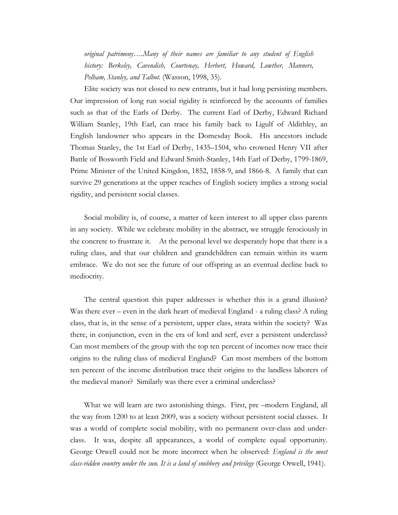*original patrimony….Many of their names are familiar to any student of English history: Berkeley, Cavendish, Courtenay, Herbert, Howard, Lowther, Manners, Pelham, Stanley, and Talbot.* (Wasson, 1998, 35).

Elite society was not closed to new entrants, but it had long persisting members. Our impression of long run social rigidity is reinforced by the accounts of families such as that of the Earls of Derby. The current Earl of Derby, Edward Richard William Stanley, 19th Earl, can trace his family back to Ligulf of Aldithley, an English landowner who appears in the Domesday Book. His ancestors include Thomas Stanley, the 1st Earl of Derby, 1435–1504, who crowned Henry VII after Battle of Bosworth Field and Edward Smith-Stanley, 14th Earl of Derby, 1799-1869, Prime Minister of the United Kingdon, 1852, 1858-9, and 1866-8. A family that can survive 29 generations at the upper reaches of English society implies a strong social rigidity, and persistent social classes.

Social mobility is, of course, a matter of keen interest to all upper class parents in any society. While we celebrate mobility in the abstract, we struggle ferociously in the concrete to frustrate it. At the personal level we desperately hope that there is a ruling class, and that our children and grandchildren can remain within its warm embrace. We do not see the future of our offspring as an eventual decline back to mediocrity.

 The central question this paper addresses is whether this is a grand illusion? Was there ever – even in the dark heart of medieval England - a ruling class? A ruling class, that is, in the sense of a persistent, upper class, strata within the society? Was there, in conjunction, even in the era of lord and serf, ever a persistent underclass? Can most members of the group with the top ten percent of incomes now trace their origins to the ruling class of medieval England? Can most members of the bottom ten percent of the income distribution trace their origins to the landless laborers of the medieval manor? Similarly was there ever a criminal underclass?

 What we will learn are two astonishing things. First, pre –modern England, all the way from 1200 to at least 2009, was a society without persistent social classes. It was a world of complete social mobility, with no permanent over-class and underclass. It was, despite all appearances, a world of complete equal opportunity. George Orwell could not be more incorrect when he observed: *England is the most class-ridden country under the sun. It is a land of snobbery and privilege* (George Orwell, 1941).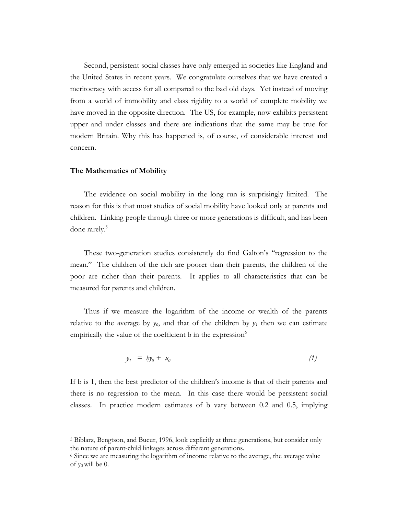Second, persistent social classes have only emerged in societies like England and the United States in recent years. We congratulate ourselves that we have created a meritocracy with access for all compared to the bad old days. Yet instead of moving from a world of immobility and class rigidity to a world of complete mobility we have moved in the opposite direction. The US, for example, now exhibits persistent upper and under classes and there are indications that the same may be true for modern Britain. Why this has happened is, of course, of considerable interest and concern.

#### **The Mathematics of Mobility**

l

 The evidence on social mobility in the long run is surprisingly limited. The reason for this is that most studies of social mobility have looked only at parents and children. Linking people through three or more generations is difficult, and has been done rarely.<sup>5</sup>

These two-generation studies consistently do find Galton's "regression to the mean." The children of the rich are poorer than their parents, the children of the poor are richer than their parents. It applies to all characteristics that can be measured for parents and children.

Thus if we measure the logarithm of the income or wealth of the parents relative to the average by  $y_0$ , and that of the children by  $y_i$  then we can estimate empirically the value of the coefficient b in the expression $^6$ 

$$
y_1 = by_0 + u_0 \tag{1}
$$

If b is 1, then the best predictor of the children's income is that of their parents and there is no regression to the mean. In this case there would be persistent social classes. In practice modern estimates of b vary between 0.2 and 0.5, implying

<sup>5</sup> Biblarz, Bengtson, and Bucur, 1996, look explicitly at three generations, but consider only the nature of parent-child linkages across different generations.

<sup>6</sup> Since we are measuring the logarithm of income relative to the average, the average value of  $y_0$  will be 0.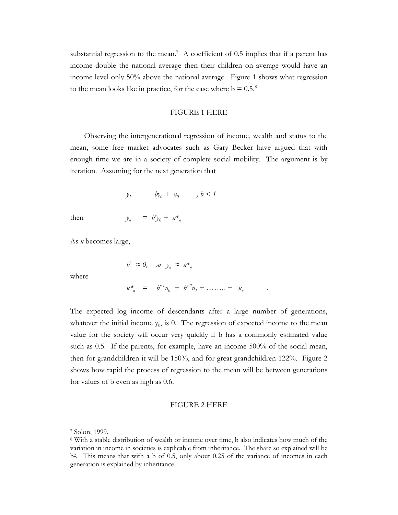substantial regression to the mean.<sup>7</sup> A coefficient of 0.5 implies that if a parent has income double the national average then their children on average would have an income level only 50% above the national average. Figure 1 shows what regression to the mean looks like in practice, for the case where  $b = 0.5$ .<sup>8</sup>

#### FIGURE 1 HERE

 Observing the intergenerational regression of income, wealth and status to the mean, some free market advocates such as Gary Becker have argued that with enough time we are in a society of complete social mobility. The argument is by iteration. Assuming for the next generation that

$$
y_1 = by_0 + u_0, \quad b < 1
$$

then  $y_n = b^n y_0 + u^*$ 

As *n* becomes large,

$$
b^n \approx 0, \quad so \quad y_n \approx u^*_{n}
$$

where

$$
u^*_{n} = b^{n-1}u_0 + b^{n-2}u_1 + \ldots + u_n
$$

The expected log income of descendants after a large number of generations, whatever the initial income  $y_0$ , is 0. The regression of expected income to the mean value for the society will occur very quickly if b has a commonly estimated value such as 0.5. If the parents, for example, have an income 500% of the social mean, then for grandchildren it will be 150%, and for great-grandchildren 122%. Figure 2 shows how rapid the process of regression to the mean will be between generations for values of b even as high as 0.6.

#### FIGURE 2 HERE

<sup>7</sup> Solon, 1999.

<sup>8</sup> With a stable distribution of wealth or income over time, b also indicates how much of the variation in income in societies is explicable from inheritance. The share so explained will be b2. This means that with a b of 0.5, only about 0.25 of the variance of incomes in each generation is explained by inheritance.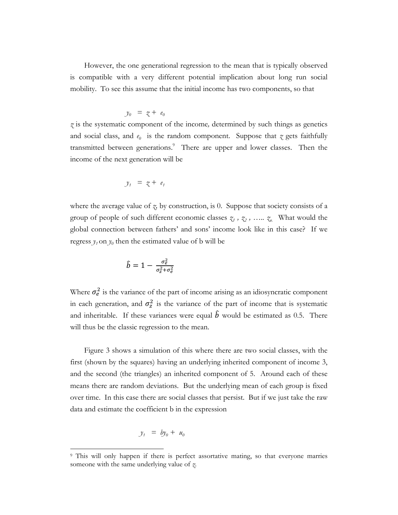However, the one generational regression to the mean that is typically observed is compatible with a very different potential implication about long run social mobility. To see this assume that the initial income has two components, so that

$$
y_0 = z + e_0
$$

*z* is the systematic component of the income*,* determined by such things as genetics and social class, and  $e_0$  is the random component. Suppose that  $\zeta$  gets faithfully transmitted between generations.<sup>9</sup> There are upper and lower classes. Then the income of the next generation will be

$$
y_1 = z + e_1
$$

where the average value of *z,* by construction, is 0. Suppose that society consists of a group of people of such different economic classes  $\zeta_1$ ,  $\zeta_2$ , .....  $\zeta_n$ . What would the global connection between fathers' and sons' income look like in this case? If we regress  $y_t$  on  $y_0$  then the estimated value of b will be

$$
\hat{b}=1-\tfrac{\sigma_e^2}{\sigma_z^2+\sigma_e^2}
$$

Where  $\sigma_e^2$  is the variance of the part of income arising as an idiosyncratic component in each generation, and  $\sigma_z^2$  is the variance of the part of income that is systematic and inheritable. If these variances were equal  $\hat{b}$  would be estimated as 0.5. There will thus be the classic regression to the mean.

Figure 3 shows a simulation of this where there are two social classes, with the first (shown by the squares) having an underlying inherited component of income 3, and the second (the triangles) an inherited component of 5. Around each of these means there are random deviations. But the underlying mean of each group is fixed over time. In this case there are social classes that persist. But if we just take the raw data and estimate the coefficient b in the expression

$$
y_1 = by_0 + u_0
$$

<sup>9</sup> This will only happen if there is perfect assortative mating, so that everyone marries someone with the same underlying value of *z*.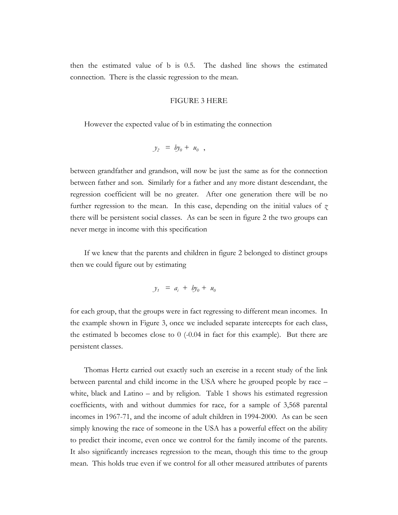then the estimated value of b is 0.5. The dashed line shows the estimated connection. There is the classic regression to the mean.

#### FIGURE 3 HERE

However the expected value of b in estimating the connection

$$
y_2 = by_0 + u_0,
$$

between grandfather and grandson, will now be just the same as for the connection between father and son. Similarly for a father and any more distant descendant, the regression coefficient will be no greater. After one generation there will be no further regression to the mean. In this case, depending on the initial values of *z* there will be persistent social classes. As can be seen in figure 2 the two groups can never merge in income with this specification

If we knew that the parents and children in figure 2 belonged to distinct groups then we could figure out by estimating

$$
y_1 = a_i + by_0 + u_0
$$

for each group, that the groups were in fact regressing to different mean incomes. In the example shown in Figure 3, once we included separate intercepts for each class, the estimated b becomes close to  $0$  (-0.04 in fact for this example). But there are persistent classes.

Thomas Hertz carried out exactly such an exercise in a recent study of the link between parental and child income in the USA where he grouped people by race – white, black and Latino – and by religion. Table 1 shows his estimated regression coefficients, with and without dummies for race, for a sample of 3,568 parental incomes in 1967-71, and the income of adult children in 1994-2000. As can be seen simply knowing the race of someone in the USA has a powerful effect on the ability to predict their income, even once we control for the family income of the parents. It also significantly increases regression to the mean, though this time to the group mean. This holds true even if we control for all other measured attributes of parents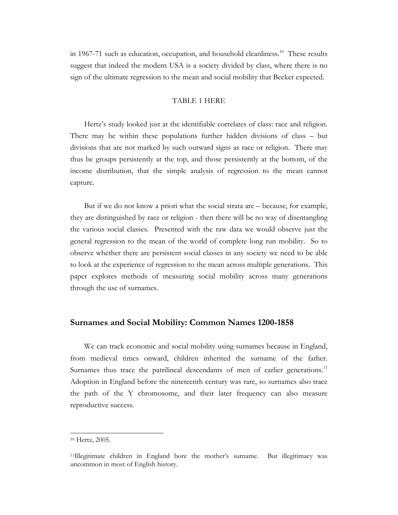in 1967-71 such as education, occupation, and household cleanliness.<sup>10</sup> These results suggest that indeed the modern USA is a society divided by class, where there is no sign of the ultimate regression to the mean and social mobility that Becker expected.

### TABLE 1 HERE

Hertz's study looked just at the identifiable correlates of class: race and religion. There may be within these populations further hidden divisions of class – but divisions that are not marked by such outward signs as race or religion. There may thus be groups persistently at the top, and those persistently at the bottom, of the income distribution, that the simple analysis of regression to the mean cannot capture.

But if we do not know a priori what the social strata are – because, for example, they are distinguished by race or religion - then there will be no way of disentangling the various social classes. Presented with the raw data we would observe just the general regression to the mean of the world of complete long run mobility. So to observe whether there are persistent social classes in any society we need to be able to look at the experience of regression to the mean across multiple generations. This paper explores methods of measuring social mobility across many generations through the use of surnames.

### **Surnames and Social Mobility: Common Names 1200-1858**

We can track economic and social mobility using surnames because in England, from medieval times onward, children inherited the surname of the father. Surnames thus trace the patrilineal descendants of men of earlier generations.<sup>11</sup> Adoption in England before the nineteenth century was rare, so surnames also trace the path of the Y chromosome, and their later frequency can also measure reproductive success.

l

<sup>10</sup> Hertz, 2005.

<sup>11</sup>Illegitimate children in England bore the mother's surname. But illegitimacy was uncommon in most of English history.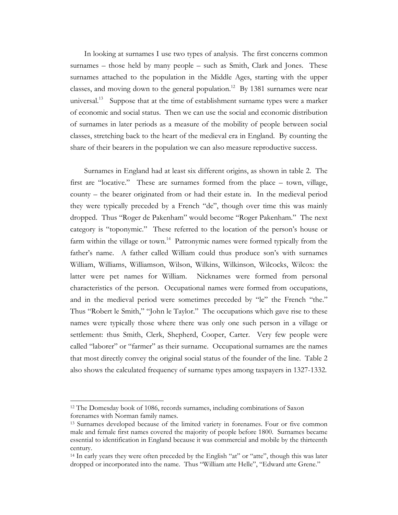In looking at surnames I use two types of analysis. The first concerns common surnames – those held by many people – such as Smith, Clark and Jones. These surnames attached to the population in the Middle Ages, starting with the upper classes, and moving down to the general population.<sup>12</sup> By 1381 surnames were near universal.<sup>13</sup> Suppose that at the time of establishment surname types were a marker of economic and social status. Then we can use the social and economic distribution of surnames in later periods as a measure of the mobility of people between social classes, stretching back to the heart of the medieval era in England. By counting the share of their bearers in the population we can also measure reproductive success.

Surnames in England had at least six different origins, as shown in table 2. The first are "locative." These are surnames formed from the place – town, village, county – the bearer originated from or had their estate in. In the medieval period they were typically preceded by a French "de", though over time this was mainly dropped. Thus "Roger de Pakenham" would become "Roger Pakenham." The next category is "toponymic." These referred to the location of the person's house or farm within the village or town.<sup>14</sup> Patronymic names were formed typically from the father's name. A father called William could thus produce son's with surnames William, Williams, Williamson, Wilson, Wilkins, Wilkinson, Wilcocks, Wilcox: the latter were pet names for William. Nicknames were formed from personal characteristics of the person. Occupational names were formed from occupations, and in the medieval period were sometimes preceded by "le" the French "the." Thus "Robert le Smith," "John le Taylor." The occupations which gave rise to these names were typically those where there was only one such person in a village or settlement: thus Smith, Clerk, Shepherd, Cooper, Carter. Very few people were called "laborer" or "farmer" as their surname. Occupational surnames are the names that most directly convey the original social status of the founder of the line. Table 2 also shows the calculated frequency of surname types among taxpayers in 1327-1332.

l

<sup>12</sup> The Domesday book of 1086, records surnames, including combinations of Saxon forenames with Norman family names.

<sup>13</sup> Surnames developed because of the limited variety in forenames. Four or five common male and female first names covered the majority of people before 1800. Surnames became essential to identification in England because it was commercial and mobile by the thirteenth century.

<sup>14</sup> In early years they were often preceded by the English "at" or "atte", though this was later dropped or incorporated into the name. Thus "William atte Helle", "Edward atte Grene."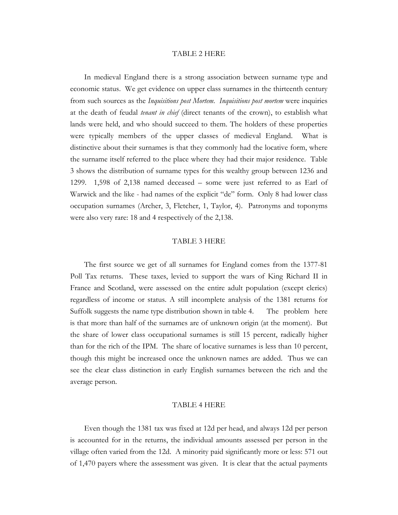#### TABLE 2 HERE

 In medieval England there is a strong association between surname type and economic status. We get evidence on upper class surnames in the thirteenth century from such sources as the *Inquisitions post Mortem*. *Inquisitions post mortem* were inquiries at the death of feudal *tenant in chief* (direct tenants of the crown), to establish what lands were held, and who should succeed to them. The holders of these properties were typically members of the upper classes of medieval England. What is distinctive about their surnames is that they commonly had the locative form, where the surname itself referred to the place where they had their major residence. Table 3 shows the distribution of surname types for this wealthy group between 1236 and 1299. 1,598 of 2,138 named deceased – some were just referred to as Earl of Warwick and the like - had names of the explicit "de" form. Only 8 had lower class occupation surnames (Archer, 3, Fletcher, 1, Taylor, 4). Patronyms and toponyms were also very rare: 18 and 4 respectively of the 2,138.

#### TABLE 3 HERE

 The first source we get of all surnames for England comes from the 1377-81 Poll Tax returns. These taxes, levied to support the wars of King Richard II in France and Scotland, were assessed on the entire adult population (except clerics) regardless of income or status. A still incomplete analysis of the 1381 returns for Suffolk suggests the name type distribution shown in table 4. The problem here is that more than half of the surnames are of unknown origin (at the moment). But the share of lower class occupational surnames is still 15 percent, radically higher than for the rich of the IPM. The share of locative surnames is less than 10 percent, though this might be increased once the unknown names are added. Thus we can see the clear class distinction in early English surnames between the rich and the average person.

#### TABLE 4 HERE

Even though the 1381 tax was fixed at 12d per head, and always 12d per person is accounted for in the returns, the individual amounts assessed per person in the village often varied from the 12d. A minority paid significantly more or less: 571 out of 1,470 payers where the assessment was given. It is clear that the actual payments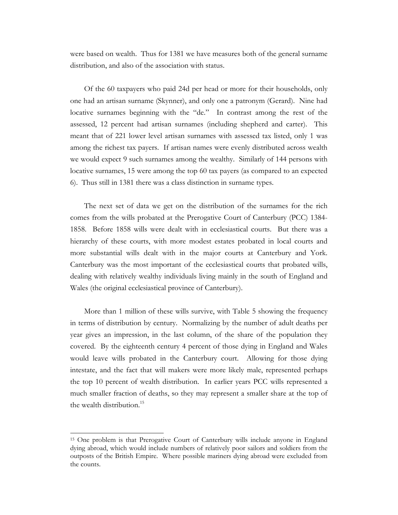were based on wealth. Thus for 1381 we have measures both of the general surname distribution, and also of the association with status.

Of the 60 taxpayers who paid 24d per head or more for their households, only one had an artisan surname (Skynner), and only one a patronym (Gerard). Nine had locative surnames beginning with the "de." In contrast among the rest of the assessed, 12 percent had artisan surnames (including shepherd and carter). This meant that of 221 lower level artisan surnames with assessed tax listed, only 1 was among the richest tax payers. If artisan names were evenly distributed across wealth we would expect 9 such surnames among the wealthy. Similarly of 144 persons with locative surnames, 15 were among the top 60 tax payers (as compared to an expected 6). Thus still in 1381 there was a class distinction in surname types.

The next set of data we get on the distribution of the surnames for the rich comes from the wills probated at the Prerogative Court of Canterbury (PCC) 1384- 1858. Before 1858 wills were dealt with in ecclesiastical courts. But there was a hierarchy of these courts, with more modest estates probated in local courts and more substantial wills dealt with in the major courts at Canterbury and York. Canterbury was the most important of the ecclesiastical courts that probated wills, dealing with relatively wealthy individuals living mainly in the south of England and Wales (the original ecclesiastical province of Canterbury).

More than 1 million of these wills survive, with Table 5 showing the frequency in terms of distribution by century. Normalizing by the number of adult deaths per year gives an impression, in the last column, of the share of the population they covered. By the eighteenth century 4 percent of those dying in England and Wales would leave wills probated in the Canterbury court. Allowing for those dying intestate, and the fact that will makers were more likely male, represented perhaps the top 10 percent of wealth distribution. In earlier years PCC wills represented a much smaller fraction of deaths, so they may represent a smaller share at the top of the wealth distribution.<sup>15</sup>

l

<sup>15</sup> One problem is that Prerogative Court of Canterbury wills include anyone in England dying abroad, which would include numbers of relatively poor sailors and soldiers from the outposts of the British Empire. Where possible mariners dying abroad were excluded from the counts.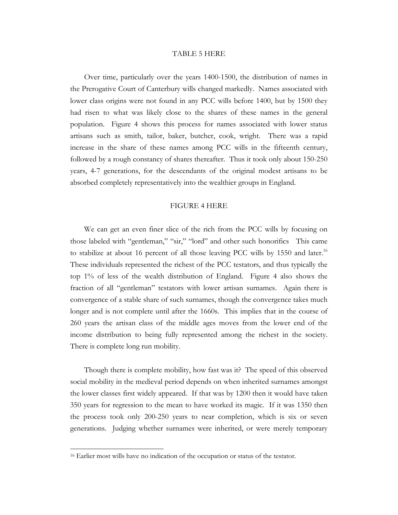#### TABLE 5 HERE

Over time, particularly over the years 1400-1500, the distribution of names in the Prerogative Court of Canterbury wills changed markedly. Names associated with lower class origins were not found in any PCC wills before 1400, but by 1500 they had risen to what was likely close to the shares of these names in the general population. Figure 4 shows this process for names associated with lower status artisans such as smith, tailor, baker, butcher, cook, wright. There was a rapid increase in the share of these names among PCC wills in the fifteenth century, followed by a rough constancy of shares thereafter. Thus it took only about 150-250 years, 4-7 generations, for the descendants of the original modest artisans to be absorbed completely representatively into the wealthier groups in England.

#### FIGURE 4 HERE

We can get an even finer slice of the rich from the PCC wills by focusing on those labeled with "gentleman," "sir," "lord" and other such honorifics This came to stabilize at about 16 percent of all those leaving PCC wills by 1550 and later.<sup>16</sup> These individuals represented the richest of the PCC testators, and thus typically the top 1% of less of the wealth distribution of England. Figure 4 also shows the fraction of all "gentleman" testators with lower artisan surnames. Again there is convergence of a stable share of such surnames, though the convergence takes much longer and is not complete until after the 1660s. This implies that in the course of 260 years the artisan class of the middle ages moves from the lower end of the income distribution to being fully represented among the richest in the society. There is complete long run mobility.

Though there is complete mobility, how fast was it? The speed of this observed social mobility in the medieval period depends on when inherited surnames amongst the lower classes first widely appeared. If that was by 1200 then it would have taken 350 years for regression to the mean to have worked its magic. If it was 1350 then the process took only 200-250 years to near completion, which is six or seven generations. Judging whether surnames were inherited, or were merely temporary

<sup>16</sup> Earlier most wills have no indication of the occupation or status of the testator.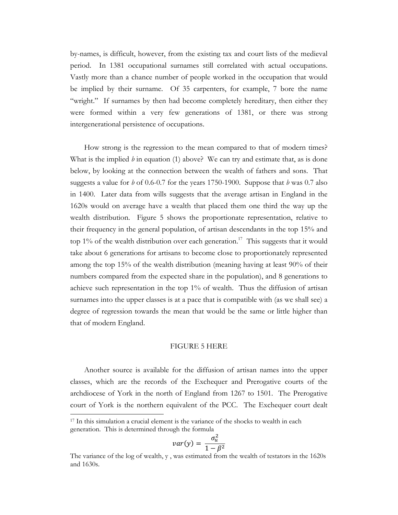by-names, is difficult, however, from the existing tax and court lists of the medieval period. In 1381 occupational surnames still correlated with actual occupations. Vastly more than a chance number of people worked in the occupation that would be implied by their surname. Of 35 carpenters, for example, 7 bore the name "wright." If surnames by then had become completely hereditary, then either they were formed within a very few generations of 1381, or there was strong intergenerational persistence of occupations.

How strong is the regression to the mean compared to that of modern times? What is the implied *b* in equation (1) above? We can try and estimate that, as is done below, by looking at the connection between the wealth of fathers and sons. That suggests a value for *b* of 0.6-0.7 for the years 1750-1900. Suppose that *b* was 0.7 also in 1400. Later data from wills suggests that the average artisan in England in the 1620s would on average have a wealth that placed them one third the way up the wealth distribution. Figure 5 shows the proportionate representation, relative to their frequency in the general population, of artisan descendants in the top 15% and top  $1\%$  of the wealth distribution over each generation.<sup>17</sup> This suggests that it would take about 6 generations for artisans to become close to proportionately represented among the top 15% of the wealth distribution (meaning having at least 90% of their numbers compared from the expected share in the population), and 8 generations to achieve such representation in the top 1% of wealth. Thus the diffusion of artisan surnames into the upper classes is at a pace that is compatible with (as we shall see) a degree of regression towards the mean that would be the same or little higher than that of modern England.

#### FIGURE 5 HERE

 Another source is available for the diffusion of artisan names into the upper classes, which are the records of the Exchequer and Prerogative courts of the archdiocese of York in the north of England from 1267 to 1501. The Prerogative court of York is the northern equivalent of the PCC. The Exchequer court dealt

$$
var(y) = \frac{\sigma_u^2}{1 - \beta^2}
$$

<sup>&</sup>lt;sup>17</sup> In this simulation a crucial element is the variance of the shocks to wealth in each generation. This is determined through the formula

The variance of the log of wealth, y , was estimated from the wealth of testators in the 1620s and 1630s.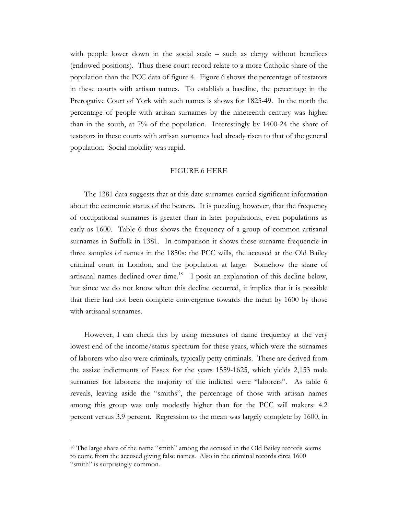with people lower down in the social scale – such as clergy without benefices (endowed positions). Thus these court record relate to a more Catholic share of the population than the PCC data of figure 4. Figure 6 shows the percentage of testators in these courts with artisan names. To establish a baseline, the percentage in the Prerogative Court of York with such names is shows for 1825-49. In the north the percentage of people with artisan surnames by the nineteenth century was higher than in the south, at 7% of the population. Interestingly by 1400-24 the share of testators in these courts with artisan surnames had already risen to that of the general population. Social mobility was rapid.

#### FIGURE 6 HERE

The 1381 data suggests that at this date surnames carried significant information about the economic status of the bearers. It is puzzling, however, that the frequency of occupational surnames is greater than in later populations, even populations as early as 1600. Table 6 thus shows the frequency of a group of common artisanal surnames in Suffolk in 1381. In comparison it shows these surname frequencie in three samples of names in the 1850s: the PCC wills, the accused at the Old Bailey criminal court in London, and the population at large. Somehow the share of artisanal names declined over time.<sup>18</sup> I posit an explanation of this decline below, but since we do not know when this decline occurred, it implies that it is possible that there had not been complete convergence towards the mean by 1600 by those with artisanal surnames.

However, I can check this by using measures of name frequency at the very lowest end of the income/status spectrum for these years, which were the surnames of laborers who also were criminals, typically petty criminals. These are derived from the assize indictments of Essex for the years 1559-1625, which yields 2,153 male surnames for laborers: the majority of the indicted were "laborers". As table 6 reveals, leaving aside the "smiths", the percentage of those with artisan names among this group was only modestly higher than for the PCC will makers: 4.2 percent versus 3.9 percent. Regression to the mean was largely complete by 1600, in

<sup>&</sup>lt;sup>18</sup> The large share of the name "smith" among the accused in the Old Bailey records seems to come from the accused giving false names. Also in the criminal records circa 1600 "smith" is surprisingly common.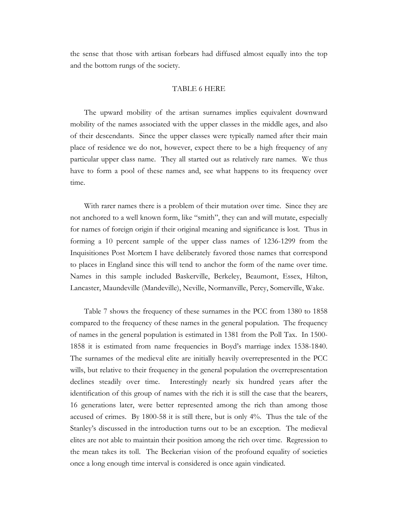the sense that those with artisan forbears had diffused almost equally into the top and the bottom rungs of the society.

#### TABLE 6 HERE

The upward mobility of the artisan surnames implies equivalent downward mobility of the names associated with the upper classes in the middle ages, and also of their descendants. Since the upper classes were typically named after their main place of residence we do not, however, expect there to be a high frequency of any particular upper class name. They all started out as relatively rare names. We thus have to form a pool of these names and, see what happens to its frequency over time.

 With rarer names there is a problem of their mutation over time. Since they are not anchored to a well known form, like "smith", they can and will mutate, especially for names of foreign origin if their original meaning and significance is lost. Thus in forming a 10 percent sample of the upper class names of 1236-1299 from the Inquisitiones Post Mortem I have deliberately favored those names that correspond to places in England since this will tend to anchor the form of the name over time. Names in this sample included Baskerville, Berkeley, Beaumont, Essex, Hilton, Lancaster, Maundeville (Mandeville), Neville, Normanville, Percy, Somerville, Wake.

Table 7 shows the frequency of these surnames in the PCC from 1380 to 1858 compared to the frequency of these names in the general population. The frequency of names in the general population is estimated in 1381 from the Poll Tax. In 1500- 1858 it is estimated from name frequencies in Boyd's marriage index 1538-1840. The surnames of the medieval elite are initially heavily overrepresented in the PCC wills, but relative to their frequency in the general population the overrepresentation declines steadily over time. Interestingly nearly six hundred years after the identification of this group of names with the rich it is still the case that the bearers, 16 generations later, were better represented among the rich than among those accused of crimes. By 1800-58 it is still there, but is only 4%. Thus the tale of the Stanley's discussed in the introduction turns out to be an exception. The medieval elites are not able to maintain their position among the rich over time. Regression to the mean takes its toll. The Beckerian vision of the profound equality of societies once a long enough time interval is considered is once again vindicated.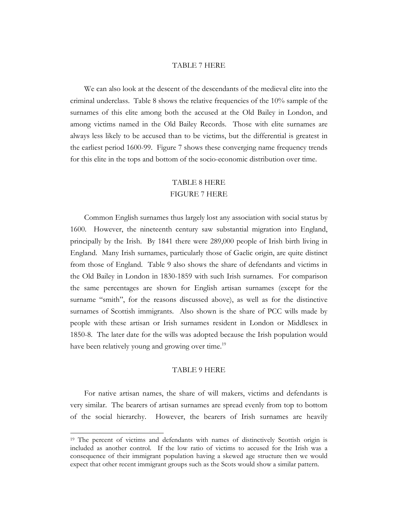#### TABLE 7 HERE

We can also look at the descent of the descendants of the medieval elite into the criminal underclass. Table 8 shows the relative frequencies of the 10% sample of the surnames of this elite among both the accused at the Old Bailey in London, and among victims named in the Old Bailey Records. Those with elite surnames are always less likely to be accused than to be victims, but the differential is greatest in the earliest period 1600-99. Figure 7 shows these converging name frequency trends for this elite in the tops and bottom of the socio-economic distribution over time.

# TABLE 8 HERE FIGURE 7 HERE

Common English surnames thus largely lost any association with social status by 1600. However, the nineteenth century saw substantial migration into England, principally by the Irish. By 1841 there were 289,000 people of Irish birth living in England. Many Irish surnames, particularly those of Gaelic origin, are quite distinct from those of England. Table 9 also shows the share of defendants and victims in the Old Bailey in London in 1830-1859 with such Irish surnames. For comparison the same percentages are shown for English artisan surnames (except for the surname "smith", for the reasons discussed above), as well as for the distinctive surnames of Scottish immigrants. Also shown is the share of PCC wills made by people with these artisan or Irish surnames resident in London or Middlesex in 1850-8. The later date for the wills was adopted because the Irish population would have been relatively young and growing over time.<sup>19</sup>

### TABLE 9 HERE

For native artisan names, the share of will makers, victims and defendants is very similar. The bearers of artisan surnames are spread evenly from top to bottom of the social hierarchy. However, the bearers of Irish surnames are heavily

l

<sup>&</sup>lt;sup>19</sup> The percent of victims and defendants with names of distinctively Scottish origin is included as another control. If the low ratio of victims to accused for the Irish was a consequence of their immigrant population having a skewed age structure then we would expect that other recent immigrant groups such as the Scots would show a similar pattern.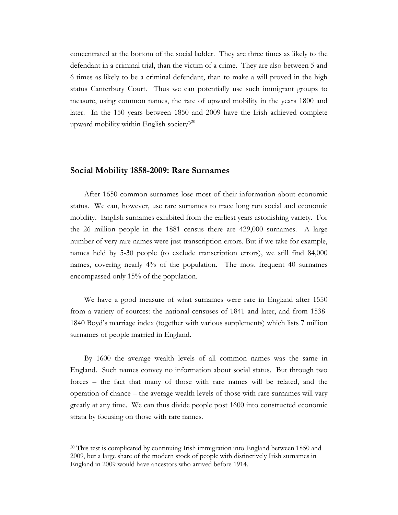concentrated at the bottom of the social ladder. They are three times as likely to the defendant in a criminal trial, than the victim of a crime. They are also between 5 and 6 times as likely to be a criminal defendant, than to make a will proved in the high status Canterbury Court. Thus we can potentially use such immigrant groups to measure, using common names, the rate of upward mobility in the years 1800 and later. In the 150 years between 1850 and 2009 have the Irish achieved complete upward mobility within English society? $20$ 

### **Social Mobility 1858-2009: Rare Surnames**

After 1650 common surnames lose most of their information about economic status. We can, however, use rare surnames to trace long run social and economic mobility. English surnames exhibited from the earliest years astonishing variety. For the 26 million people in the 1881 census there are 429,000 surnames. A large number of very rare names were just transcription errors. But if we take for example, names held by 5-30 people (to exclude transcription errors), we still find 84,000 names, covering nearly 4% of the population. The most frequent 40 surnames encompassed only 15% of the population.

We have a good measure of what surnames were rare in England after 1550 from a variety of sources: the national censuses of 1841 and later, and from 1538- 1840 Boyd's marriage index (together with various supplements) which lists 7 million surnames of people married in England.

 By 1600 the average wealth levels of all common names was the same in England. Such names convey no information about social status. But through two forces – the fact that many of those with rare names will be related, and the operation of chance – the average wealth levels of those with rare surnames will vary greatly at any time. We can thus divide people post 1600 into constructed economic strata by focusing on those with rare names.

<sup>20</sup> This test is complicated by continuing Irish immigration into England between 1850 and 2009, but a large share of the modern stock of people with distinctively Irish surnames in England in 2009 would have ancestors who arrived before 1914.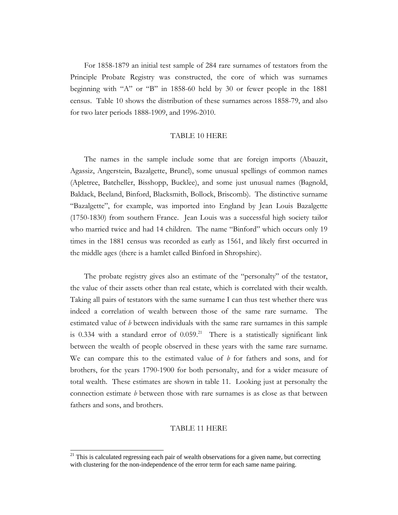For 1858-1879 an initial test sample of 284 rare surnames of testators from the Principle Probate Registry was constructed, the core of which was surnames beginning with "A" or "B" in 1858-60 held by 30 or fewer people in the 1881 census. Table 10 shows the distribution of these surnames across 1858-79, and also for two later periods 1888-1909, and 1996-2010.

#### TABLE 10 HERE

The names in the sample include some that are foreign imports (Abauzit, Agassiz, Angerstein, Bazalgette, Brunel), some unusual spellings of common names (Apletree, Batcheller, Bisshopp, Bucklee), and some just unusual names (Bagnold, Baldack, Beeland, Binford, Blacksmith, Bollock, Briscomb). The distinctive surname "Bazalgette", for example, was imported into England by Jean Louis Bazalgette (1750-1830) from southern France. Jean Louis was a successful high society tailor who married twice and had 14 children. The name "Binford" which occurs only 19 times in the 1881 census was recorded as early as 1561, and likely first occurred in the middle ages (there is a hamlet called Binford in Shropshire).

The probate registry gives also an estimate of the "personalty" of the testator, the value of their assets other than real estate, which is correlated with their wealth. Taking all pairs of testators with the same surname I can thus test whether there was indeed a correlation of wealth between those of the same rare surname. The estimated value of *b* between individuals with the same rare surnames in this sample is 0.334 with a standard error of  $0.059$ .<sup>21</sup> There is a statistically significant link between the wealth of people observed in these years with the same rare surname. We can compare this to the estimated value of *b* for fathers and sons, and for brothers, for the years 1790-1900 for both personalty, and for a wider measure of total wealth. These estimates are shown in table 11. Looking just at personalty the connection estimate *b* between those with rare surnames is as close as that between fathers and sons, and brothers.

#### TABLE 11 HERE

<sup>&</sup>lt;sup>21</sup> This is calculated regressing each pair of wealth observations for a given name, but correcting with clustering for the non-independence of the error term for each same name pairing.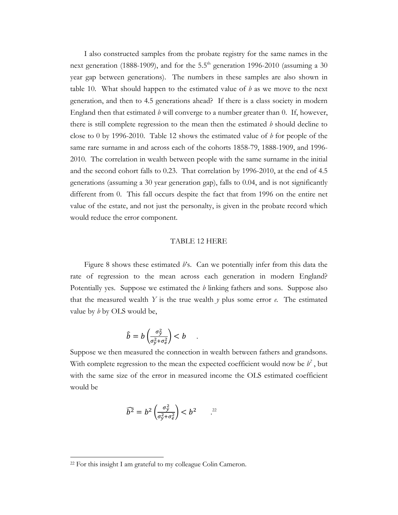I also constructed samples from the probate registry for the same names in the next generation (1888-1909), and for the  $5.5<sup>th</sup>$  generation 1996-2010 (assuming a 30 year gap between generations). The numbers in these samples are also shown in table 10. What should happen to the estimated value of *b* as we move to the next generation, and then to 4.5 generations ahead? If there is a class society in modern England then that estimated  *will converge to a number greater than 0. If, however,* there is still complete regression to the mean then the estimated *b* should decline to close to 0 by 1996-2010. Table 12 shows the estimated value of *b* for people of the same rare surname in and across each of the cohorts 1858-79, 1888-1909, and 1996- 2010. The correlation in wealth between people with the same surname in the initial and the second cohort falls to 0.23. That correlation by 1996-2010, at the end of 4.5 generations (assuming a 30 year generation gap), falls to 0.04, and is not significantly different from 0. This fall occurs despite the fact that from 1996 on the entire net value of the estate, and not just the personalty, is given in the probate record which would reduce the error component.

#### TABLE 12 HERE

Figure 8 shows these estimated *b*'s. Can we potentially infer from this data the rate of regression to the mean across each generation in modern England? Potentially yes. Suppose we estimated the *b* linking fathers and sons. Suppose also that the measured wealth *Y* is the true wealth  $\gamma$  plus some error  $e$ . The estimated value by *b* by OLS would be,

$$
\hat{b} = b \left( \frac{\sigma_y^2}{\sigma_y^2 + \sigma_e^2} \right) < b \quad .
$$

Suppose we then measured the connection in wealth between fathers and grandsons. With complete regression to the mean the expected coefficient would now be  $b^2$ , but with the same size of the error in measured income the OLS estimated coefficient would be

$$
\widehat{b^2} = b^2 \left( \frac{\sigma_y^2}{\sigma_y^2 + \sigma_e^2} \right) < b^2 \qquad \stackrel{\text{22}}{\dots}
$$

<sup>22</sup> For this insight I am grateful to my colleague Colin Cameron.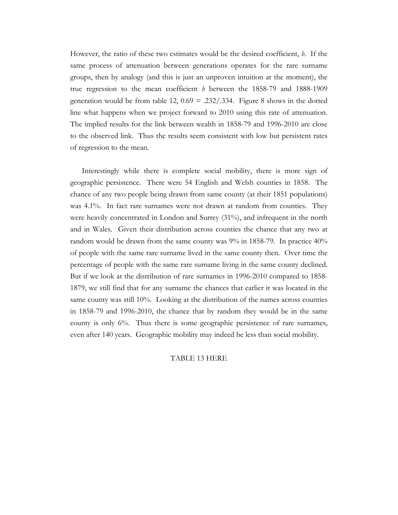However, the ratio of these two estimates would be the desired coefficient, *b*. If the same process of attenuation between generations operates for the rare surname groups, then by analogy (and this is just an unproven intuition at the moment), the true regression to the mean coefficient *b* between the 1858-79 and 1888-1909 generation would be from table 12,  $0.69 = 0.232 \cdot 0.334$ . Figure 8 shows in the dotted line what happens when we project forward to 2010 using this rate of attenuation. The implied results for the link between wealth in 1858-79 and 1996-2010 are close to the observed link. Thus the results seem consistent with low but persistent rates of regression to the mean.

Interestingly while there is complete social mobility, there is more sign of geographic persistence. There were 54 English and Welsh counties in 1858. The chance of any two people being drawn from same county (at their 1851 populations) was 4.1%. In fact rare surnames were not drawn at random from counties. They were heavily concentrated in London and Surrey (31%), and infrequent in the north and in Wales. Given their distribution across counties the chance that any two at random would be drawn from the same county was 9% in 1858-79. In practice 40% of people with the same rare surname lived in the same county then. Over time the percentage of people with the same rare surname living in the same county declined. But if we look at the distribution of rare surnames in 1996-2010 compared to 1858- 1879, we still find that for any surname the chances that earlier it was located in the same county was still 10%. Looking at the distribution of the names across counties in 1858-79 and 1996-2010, the chance that by random they would be in the same county is only 6%. Thus there is some geographic persistence of rare surnames, even after 140 years. Geographic mobility may indeed be less than social mobility.

#### TABLE 13 HERE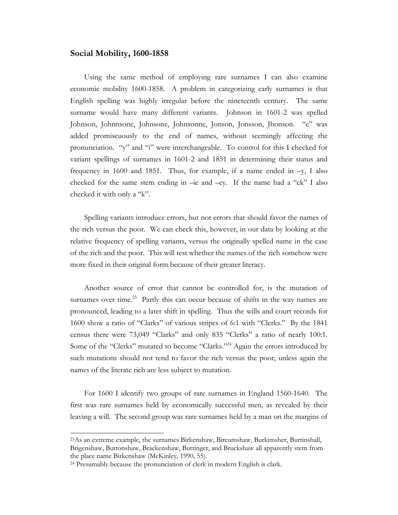### **Social Mobility, 1600-1858**

Using the same method of employing rare surnames I can also examine economic mobility 1600-1858. A problem in categorizing early surnames is that English spelling was highly irregular before the nineteenth century. The same surname would have many different variants. Johnson in 1601-2 was spelled Johnson, Johnnsone, Johnsone, Johnsonne, Jonson, Jonsson, Jhonson. "e" was added promiscuously to the end of names, without seemingly affecting the pronunciation. "y" and "i" were interchangeable. To control for this I checked for variant spellings of surnames in 1601-2 and 1851 in determining their status and frequency in 1600 and 1851. Thus, for example, if a name ended in  $-y$ , I also checked for the same stem ending in –ie and –ey. If the name had a "ck" I also checked it with only a "k".

Spelling variants introduce errors, but not errors that should favor the names of the rich versus the poor. We can check this, however, in our data by looking at the relative frequency of spelling variants, versus the originally spelled name in the case of the rich and the poor. This will test whether the names of the rich somehow were more fixed in their original form because of their greater literacy.

Another source of error that cannot be controlled for, is the mutation of surnames over time.<sup>23</sup> Partly this can occur because of shifts in the way names are pronounced, leading to a later shift in spelling. Thus the wills and court records for 1600 show a ratio of "Clarks" of various stripes of 6:1 with "Clerks." By the 1841 census there were 73,049 "Clarks" and only 835 "Clerks" a ratio of nearly 100:1. Some of the "Clerks" mutated to become "Clarks."<sup>24</sup> Again the errors introduced by such mutations should not tend to favor the rich versus the poor, unless again the names of the literate rich are less subject to mutation.

For 1600 I identify two groups of rare surnames in England 1560-1640. The first was rare surnames held by economically successful men, as revealed by their leaving a will. The second group was rare surnames held by a man on the margins of

l

<sup>23</sup>As an extreme example, the surnames Birkenshaw, Bircumshaw, Burkimsher, Burtinshall, Brigenshaw, Buttonshaw, Brackenshaw, Buttinger, and Bruckshaw all apparently stem from the place name Birkenshaw (McKinley, 1990, 55).

<sup>24</sup> Presumably because the pronunciation of clerk in modern English is clark.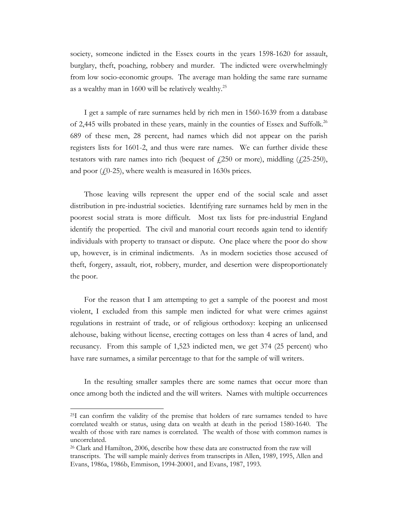society, someone indicted in the Essex courts in the years 1598-1620 for assault, burglary, theft, poaching, robbery and murder. The indicted were overwhelmingly from low socio-economic groups. The average man holding the same rare surname as a wealthy man in 1600 will be relatively wealthy.<sup>25</sup>

I get a sample of rare surnames held by rich men in 1560-1639 from a database of 2,445 wills probated in these years, mainly in the counties of Essex and Suffolk.<sup>26</sup> 689 of these men, 28 percent, had names which did not appear on the parish registers lists for 1601-2, and thus were rare names. We can further divide these testators with rare names into rich (bequest of  $\ell$ , 250 or more), middling ( $\ell$ , 25-250), and poor  $(10-25)$ , where wealth is measured in 1630s prices.

Those leaving wills represent the upper end of the social scale and asset distribution in pre-industrial societies. Identifying rare surnames held by men in the poorest social strata is more difficult. Most tax lists for pre-industrial England identify the propertied. The civil and manorial court records again tend to identify individuals with property to transact or dispute. One place where the poor do show up, however, is in criminal indictments. As in modern societies those accused of theft, forgery, assault, riot, robbery, murder, and desertion were disproportionately the poor.

For the reason that I am attempting to get a sample of the poorest and most violent, I excluded from this sample men indicted for what were crimes against regulations in restraint of trade, or of religious orthodoxy: keeping an unlicensed alehouse, baking without license, erecting cottages on less than 4 acres of land, and recusancy. From this sample of 1,523 indicted men, we get 374 (25 percent) who have rare surnames, a similar percentage to that for the sample of will writers.

In the resulting smaller samples there are some names that occur more than once among both the indicted and the will writers. Names with multiple occurrences

<sup>25</sup>I can confirm the validity of the premise that holders of rare surnames tended to have correlated wealth or status, using data on wealth at death in the period 1580-1640. The wealth of those with rare names is correlated. The wealth of those with common names is uncorrelated.

<sup>26</sup> Clark and Hamilton, 2006, describe how these data are constructed from the raw will transcripts. The will sample mainly derives from transcripts in Allen, 1989, 1995, Allen and Evans, 1986a, 1986b, Emmison, 1994-20001, and Evans, 1987, 1993.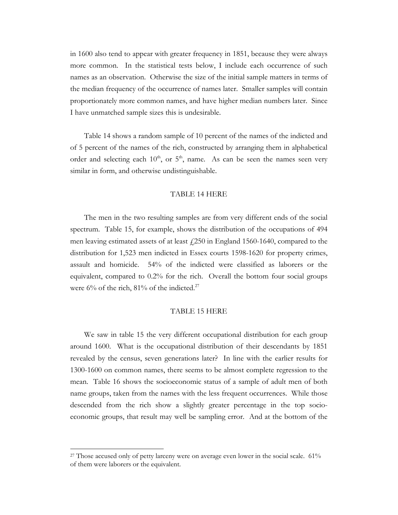in 1600 also tend to appear with greater frequency in 1851, because they were always more common. In the statistical tests below, I include each occurrence of such names as an observation. Otherwise the size of the initial sample matters in terms of the median frequency of the occurrence of names later. Smaller samples will contain proportionately more common names, and have higher median numbers later. Since I have unmatched sample sizes this is undesirable.

Table 14 shows a random sample of 10 percent of the names of the indicted and of 5 percent of the names of the rich, constructed by arranging them in alphabetical order and selecting each  $10^{th}$ , or  $5^{th}$ , name. As can be seen the names seen very similar in form, and otherwise undistinguishable.

#### TABLE 14 HERE

The men in the two resulting samples are from very different ends of the social spectrum. Table 15, for example, shows the distribution of the occupations of 494 men leaving estimated assets of at least  $\frac{1}{250}$  in England 1560-1640, compared to the distribution for 1,523 men indicted in Essex courts 1598-1620 for property crimes, assault and homicide. 54% of the indicted were classified as laborers or the equivalent, compared to 0.2% for the rich. Overall the bottom four social groups were  $6\%$  of the rich,  $81\%$  of the indicted.<sup>27</sup>

### TABLE 15 HERE

 We saw in table 15 the very different occupational distribution for each group around 1600. What is the occupational distribution of their descendants by 1851 revealed by the census, seven generations later? In line with the earlier results for 1300-1600 on common names, there seems to be almost complete regression to the mean. Table 16 shows the socioeconomic status of a sample of adult men of both name groups, taken from the names with the less frequent occurrences. While those descended from the rich show a slightly greater percentage in the top socioeconomic groups, that result may well be sampling error. And at the bottom of the

<sup>&</sup>lt;sup>27</sup> Those accused only of petty larceny were on average even lower in the social scale. 61% of them were laborers or the equivalent.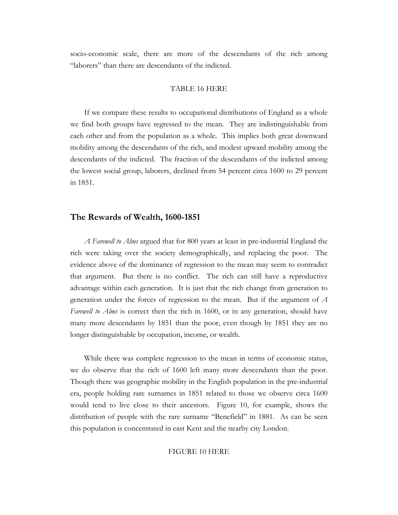socio-economic scale, there are more of the descendants of the rich among "laborers" than there are descendants of the indicted.

#### TABLE 16 HERE

 If we compare these results to occupational distributions of England as a whole we find both groups have regressed to the mean. They are indistinguishable from each other and from the population as a whole. This implies both great downward mobility among the descendants of the rich, and modest upward mobility among the descendants of the indicted. The fraction of the descendants of the indicted among the lowest social group, laborers, declined from 54 percent circa 1600 to 29 percent in 1851.

#### **The Rewards of Wealth, 1600-1851**

*A Farewell to Alms* argued that for 800 years at least in pre-industrial England the rich were taking over the society demographically, and replacing the poor. The evidence above of the dominance of regression to the mean may seem to contradict that argument. But there is no conflict. The rich can still have a reproductive advantage within each generation. It is just that the rich change from generation to generation under the forces of regression to the mean. But if the argument of *A Farewell to Alms* is correct then the rich in 1600, or in any generation, should have many more descendants by 1851 than the poor, even though by 1851 they are no longer distinguishable by occupation, income, or wealth.

 While there was complete regression to the mean in terms of economic status, we do observe that the rich of 1600 left many more descendants than the poor. Though there was geographic mobility in the English population in the pre-industrial era, people holding rare surnames in 1851 related to those we observe circa 1600 would tend to live close to their ancestors. Figure 10, for example, shows the distribution of people with the rare surname "Benefield" in 1881. As can be seen this population is concentrated in east Kent and the nearby city London.

#### FIGURE 10 HERE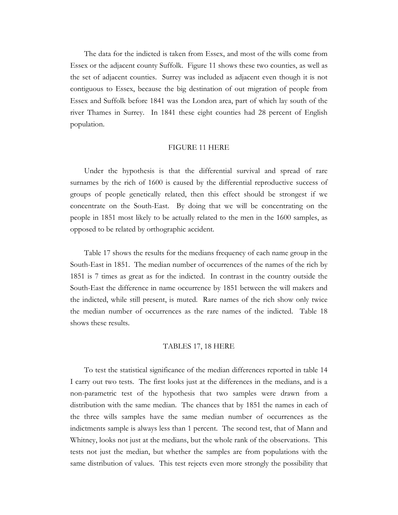The data for the indicted is taken from Essex, and most of the wills come from Essex or the adjacent county Suffolk. Figure 11 shows these two counties, as well as the set of adjacent counties. Surrey was included as adjacent even though it is not contiguous to Essex, because the big destination of out migration of people from Essex and Suffolk before 1841 was the London area, part of which lay south of the river Thames in Surrey. In 1841 these eight counties had 28 percent of English population.

#### FIGURE 11 HERE

Under the hypothesis is that the differential survival and spread of rare surnames by the rich of 1600 is caused by the differential reproductive success of groups of people genetically related, then this effect should be strongest if we concentrate on the South-East. By doing that we will be concentrating on the people in 1851 most likely to be actually related to the men in the 1600 samples, as opposed to be related by orthographic accident.

Table 17 shows the results for the medians frequency of each name group in the South-East in 1851. The median number of occurrences of the names of the rich by 1851 is 7 times as great as for the indicted. In contrast in the country outside the South-East the difference in name occurrence by 1851 between the will makers and the indicted, while still present, is muted. Rare names of the rich show only twice the median number of occurrences as the rare names of the indicted. Table 18 shows these results.

#### TABLES 17, 18 HERE

To test the statistical significance of the median differences reported in table 14 I carry out two tests. The first looks just at the differences in the medians, and is a non-parametric test of the hypothesis that two samples were drawn from a distribution with the same median. The chances that by 1851 the names in each of the three wills samples have the same median number of occurrences as the indictments sample is always less than 1 percent. The second test, that of Mann and Whitney, looks not just at the medians, but the whole rank of the observations. This tests not just the median, but whether the samples are from populations with the same distribution of values. This test rejects even more strongly the possibility that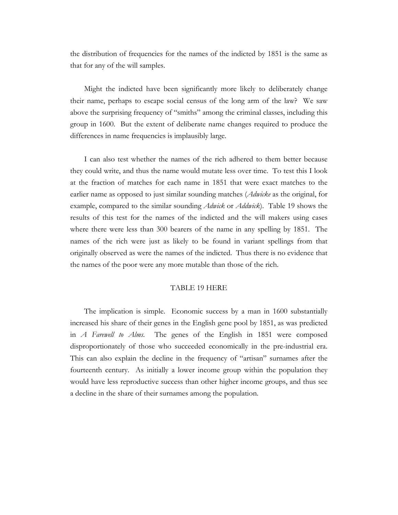the distribution of frequencies for the names of the indicted by 1851 is the same as that for any of the will samples.

Might the indicted have been significantly more likely to deliberately change their name, perhaps to escape social census of the long arm of the law? We saw above the surprising frequency of "smiths" among the criminal classes, including this group in 1600. But the extent of deliberate name changes required to produce the differences in name frequencies is implausibly large.

I can also test whether the names of the rich adhered to them better because they could write, and thus the name would mutate less over time. To test this I look at the fraction of matches for each name in 1851 that were exact matches to the earlier name as opposed to just similar sounding matches (*Adwicke* as the original, for example, compared to the similar sounding *Adwick* or *Addwick*). Table 19 shows the results of this test for the names of the indicted and the will makers using cases where there were less than 300 bearers of the name in any spelling by 1851. The names of the rich were just as likely to be found in variant spellings from that originally observed as were the names of the indicted. Thus there is no evidence that the names of the poor were any more mutable than those of the rich.

#### TABLE 19 HERE

The implication is simple. Economic success by a man in 1600 substantially increased his share of their genes in the English gene pool by 1851, as was predicted in *A Farewell to Alms*. The genes of the English in 1851 were composed disproportionately of those who succeeded economically in the pre-industrial era. This can also explain the decline in the frequency of "artisan" surnames after the fourteenth century. As initially a lower income group within the population they would have less reproductive success than other higher income groups, and thus see a decline in the share of their surnames among the population.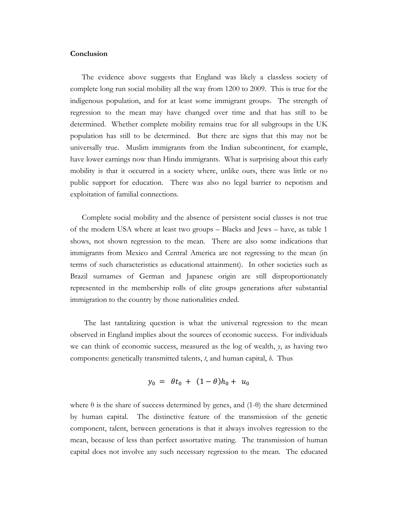### **Conclusion**

The evidence above suggests that England was likely a classless society of complete long run social mobility all the way from 1200 to 2009. This is true for the indigenous population, and for at least some immigrant groups. The strength of regression to the mean may have changed over time and that has still to be determined. Whether complete mobility remains true for all subgroups in the UK population has still to be determined. But there are signs that this may not be universally true. Muslim immigrants from the Indian subcontinent, for example, have lower earnings now than Hindu immigrants. What is surprising about this early mobility is that it occurred in a society where, unlike ours, there was little or no public support for education. There was also no legal barrier to nepotism and exploitation of familial connections.

Complete social mobility and the absence of persistent social classes is not true of the modern USA where at least two groups – Blacks and Jews – have, as table 1 shows, not shown regression to the mean. There are also some indications that immigrants from Mexico and Central America are not regressing to the mean (in terms of such characteristics as educational attainment). In other societies such as Brazil surnames of German and Japanese origin are still disproportionately represented in the membership rolls of elite groups generations after substantial immigration to the country by those nationalities ended.

 The last tantalizing question is what the universal regression to the mean observed in England implies about the sources of economic success. For individuals we can think of economic success, measured as the log of wealth, *y*, as having two components: genetically transmitted talents, *t*, and human capital, *h*. Thus

$$
y_0 = \theta t_0 + (1 - \theta) h_0 + u_0
$$

where  $\theta$  is the share of success determined by genes, and (1- $\theta$ ) the share determined by human capital. The distinctive feature of the transmission of the genetic component, talent, between generations is that it always involves regression to the mean, because of less than perfect assortative mating. The transmission of human capital does not involve any such necessary regression to the mean. The educated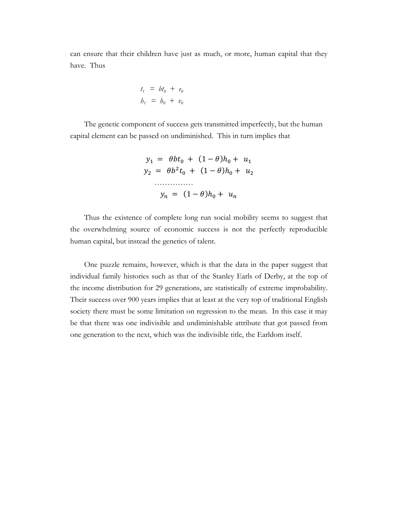can ensure that their children have just as much, or more, human capital that they have. Thus

$$
t_1 = bt_0 + e_0
$$
  

$$
b_1 = b_0 + v_0
$$

The genetic component of success gets transmitted imperfectly, but the human capital element can be passed on undiminished. This in turn implies that

$$
y_1 = \theta b t_0 + (1 - \theta) h_0 + u_1
$$
  

$$
y_2 = \theta b^2 t_0 + (1 - \theta) h_0 + u_2
$$
  
........  

$$
y_n = (1 - \theta) h_0 + u_n
$$

Thus the existence of complete long run social mobility seems to suggest that the overwhelming source of economic success is not the perfectly reproducible human capital, but instead the genetics of talent.

One puzzle remains, however, which is that the data in the paper suggest that individual family histories such as that of the Stanley Earls of Derby, at the top of the income distribution for 29 generations, are statistically of extreme improbability. Their success over 900 years implies that at least at the very top of traditional English society there must be some limitation on regression to the mean. In this case it may be that there was one indivisible and undiminishable attribute that got passed from one generation to the next, which was the indivisible title, the Earldom itself.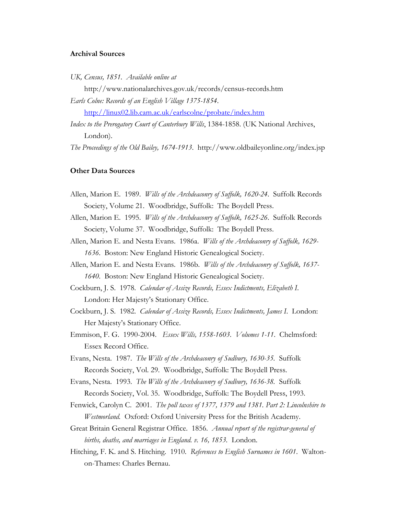### **Archival Sources**

*UK, Census, 1851. Available online at* 

http://www.nationalarchives.gov.uk/records/census-records.htm *Earls Colne: Records of an English Village 1375-1854*.

http://linux02.lib.cam.ac.uk/earlscolne/probate/index.htm

*Index to the Prerogatory Court of Canterbury Wills*, 1384-1858. (UK National Archives, London).

*The Proceedings of the Old Bailey, 1674-1913*. http://www.oldbaileyonline.org/index.jsp

### **Other Data Sources**

- Allen, Marion E. 1989. *Wills of the Archdeaconry of Suffolk, 1620-24*. Suffolk Records Society, Volume 21. Woodbridge, Suffolk: The Boydell Press.
- Allen, Marion E. 1995. *Wills of the Archdeaconry of Suffolk, 1625-26*. Suffolk Records Society, Volume 37. Woodbridge, Suffolk: The Boydell Press.
- Allen, Marion E. and Nesta Evans. 1986a. *Wills of the Archdeaconry of Suffolk, 1629- 1636*. Boston: New England Historic Genealogical Society.
- Allen, Marion E. and Nesta Evans. 1986b. *Wills of the Archdeaconry of Suffolk, 1637- 1640*. Boston: New England Historic Genealogical Society.
- Cockburn, J. S. 1978. *Calendar of Assize Records, Essex Indictments, Elizabeth I*. London: Her Majesty's Stationary Office.
- Cockburn, J. S. 1982. *Calendar of Assize Records, Essex Indictments, James I*. London: Her Majesty's Stationary Office.
- Emmison, F. G. 1990-2004. *Essex Wills, 1558-1603*. *Volumes 1-11*. Chelmsford: Essex Record Office.
- Evans, Nesta. 1987. *The Wills of the Archdeaconry of Sudbury, 1630-35.* Suffolk Records Society, Vol. 29. Woodbridge, Suffolk: The Boydell Press.
- Evans, Nesta. 1993. *The Wills of the Archdeaconry of Sudbury, 1636-38.* Suffolk Records Society, Vol. 35. Woodbridge, Suffolk: The Boydell Press, 1993.
- Fenwick, Carolyn C. 2001. *The poll taxes of 1377, 1379 and 1381. Part 2: Lincolnshire to Westmorland.* Oxford: Oxford University Press for the British Academy.
- Great Britain General Registrar Office. 1856. *Annual report of the registrar-general of births, deaths, and marriages in England. v. 16, 1853.* London.
- Hitching, F. K. and S. Hitching. 1910. *References to English Surnames in 1601*. Waltonon-Thames: Charles Bernau.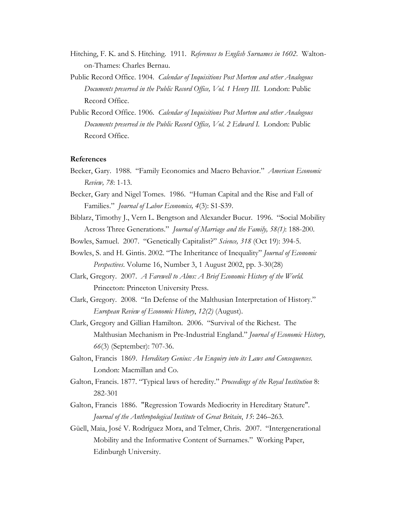- Hitching, F. K. and S. Hitching. 1911. *References to English Surnames in 1602*. Waltonon-Thames: Charles Bernau.
- Public Record Office. 1904. *Calendar of Inquisitions Post Mortem and other Analogous Documents preserved in the Public Record Office, Vol. 1 Henry III.* London: Public Record Office.
- Public Record Office. 1906. *Calendar of Inquisitions Post Mortem and other Analogous Documents preserved in the Public Record Office, Vol. 2 Edward I. London: Public* Record Office.

#### **References**

- Becker, Gary. 1988. "Family Economics and Macro Behavior." *American Economic Review, 78*: 1-13.
- Becker, Gary and Nigel Tomes. 1986. "Human Capital and the Rise and Fall of Families." *Journal of Labor Economics, 4*(3): S1-S39.
- Biblarz, Timothy J., Vern L. Bengtson and Alexander Bucur. 1996. "Social Mobility Across Three Generations." *Journal of Marriage and the Family, 58(1)*: 188-200.
- Bowles, Samuel. 2007. "Genetically Capitalist?" *Science, 318* (Oct 19): 394-5.
- Bowles, S. and H. Gintis. 2002. "The Inheritance of Inequality" *Journal of Economic Perspectives*. Volume 16, Number 3, 1 August 2002, pp. 3-30(28)
- Clark, Gregory. 2007. *A Farewell to Alms: A Brief Economic History of the World.* Princeton: Princeton University Press.
- Clark, Gregory. 2008. "In Defense of the Malthusian Interpretation of History." *European Review of Economic History*, *12(2)* (August).
- Clark, Gregory and Gillian Hamilton. 2006. "Survival of the Richest. The Malthusian Mechanism in Pre-Industrial England." *Journal of Economic History, 66*(3) (September): 707-36.
- Galton, Francis 1869. *Hereditary Genius: An Enquiry into its Laws and Consequences.* London: Macmillan and Co.
- Galton, Francis. 1877. "Typical laws of heredity." *Proceedings of the Royal Institution* 8: 282-301
- Galton, Francis 1886. "Regression Towards Mediocrity in Hereditary Stature". *Journal of the Anthropological Institute* of *Great Britain*, *15*: 246–263.
- Güell, Maia, José V. Rodríguez Mora, and Telmer, Chris. 2007. "Intergenerational Mobility and the Informative Content of Surnames." Working Paper, Edinburgh University.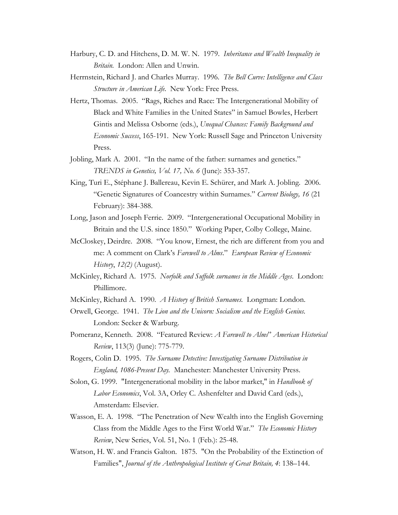- Harbury, C. D. and Hitchens, D. M. W. N. 1979. *Inheritance and Wealth Inequality in Britain.* London: Allen and Unwin.
- Herrnstein, Richard J. and Charles Murray. 1996. *The Bell Curve: Intelligence and Class Structure in American Life.* New York: Free Press.
- Hertz, Thomas. 2005. "Rags, Riches and Race: The Intergenerational Mobility of Black and White Families in the United States" in Samuel Bowles, Herbert Gintis and Melissa Osborne (eds.), *Unequal Chances: Family Background and Economic Success*, 165-191. New York: Russell Sage and Princeton University Press.
- Jobling, Mark A. 2001. "In the name of the father: surnames and genetics." *TRENDS in Genetics, Vol. 17, No. 6* (June): 353-357.
- King, Turi E., Stéphane J. Ballereau, Kevin E. Schürer, and Mark A. Jobling. 2006. "Genetic Signatures of Coancestry within Surnames." *Current Biology, 16* (21 February): 384-388.
- Long, Jason and Joseph Ferrie. 2009. "Intergenerational Occupational Mobility in Britain and the U.S. since 1850." Working Paper, Colby College, Maine.
- McCloskey, Deirdre. 2008. "You know, Ernest, the rich are different from you and me: A comment on Clark's *Farewell to Alms*." *European Review of Economic History*, *12(2)* (August).
- McKinley, Richard A. 1975. *Norfolk and Suffolk surnames in the Middle Ages*. London: Phillimore.
- McKinley, Richard A. 1990. *A History of British Surnames.* Longman: London.
- Orwell, George. 1941. *The Lion and the Unicorn: Socialism and the English Genius.*  London: Secker & Warburg.
- Pomeranz, Kenneth. 2008. "Featured Review: *A Farewell to Alms*" *American Historical Review*, 113(3) (June): 775-779.
- Rogers, Colin D. 1995. *The Surname Detective: Investigating Surname Distribution in England, 1086-Present Day.* Manchester: Manchester University Press.
- Solon, G. 1999. "Intergenerational mobility in the labor market," in *Handbook of Labor Economics*, Vol. 3A, Orley C. Ashenfelter and David Card (eds.), Amsterdam: Elsevier.
- Wasson, E. A. 1998. "The Penetration of New Wealth into the English Governing Class from the Middle Ages to the First World War." *The Economic History Review*, New Series, Vol. 51, No. 1 (Feb.): 25-48.
- Watson, H. W. and Francis Galton. 1875. "On the Probability of the Extinction of Families", *Journal of the Anthropological Institute of Great Britain, 4*: 138–144.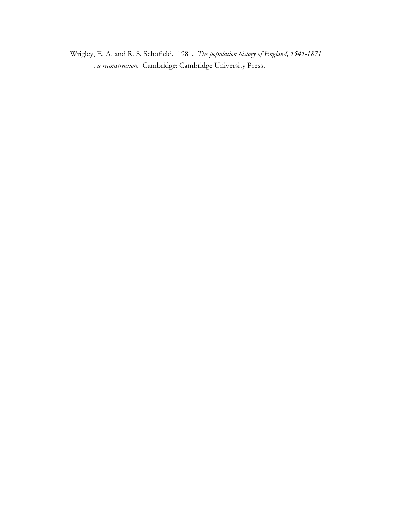Wrigley, E. A. and R. S. Schofield. 1981. *The population history of England, 1541-1871 : a reconstruction.* Cambridge: Cambridge University Press.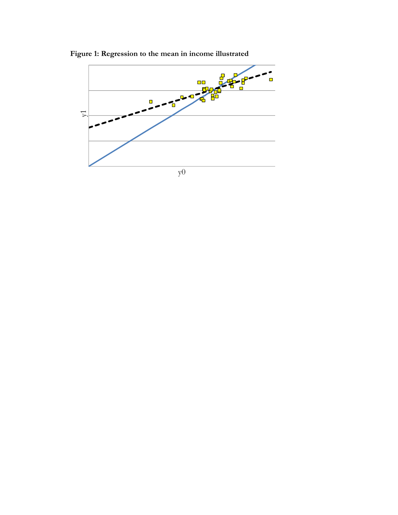

**Figure 1: Regression to the mean in income illustrated**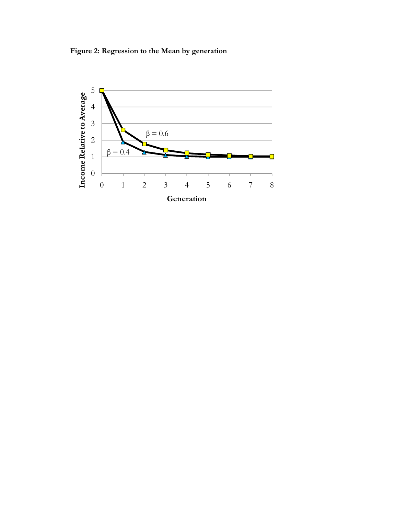**Figure 2: Regression to the Mean by generation**

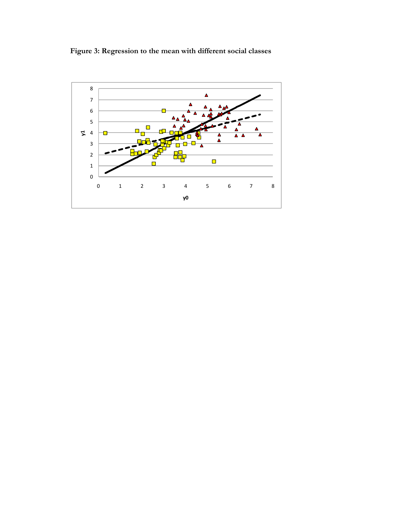**Figure 3: Regression to the mean with different social classes**

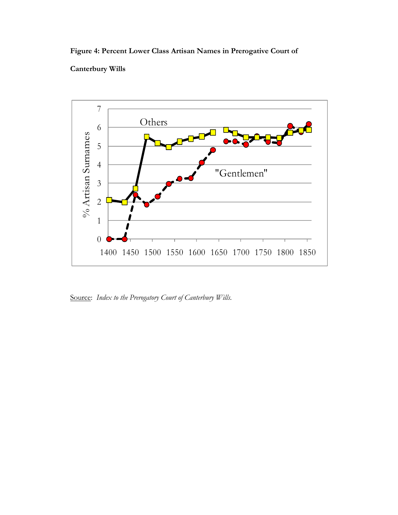# **Figure 4: Percent Lower Class Artisan Names in Prerogative Court of**

### **Canterbury Wills**



Source: *Index to the Prerogatory Court of Canterbury Wills.*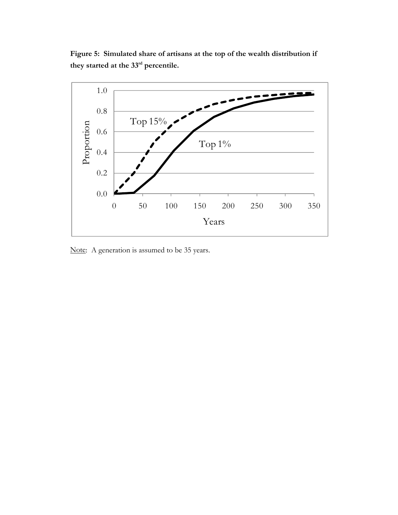**Figure 5: Simulated share of artisans at the top of the wealth distribution if they started at the 33rd percentile.** 



Note: A generation is assumed to be 35 years.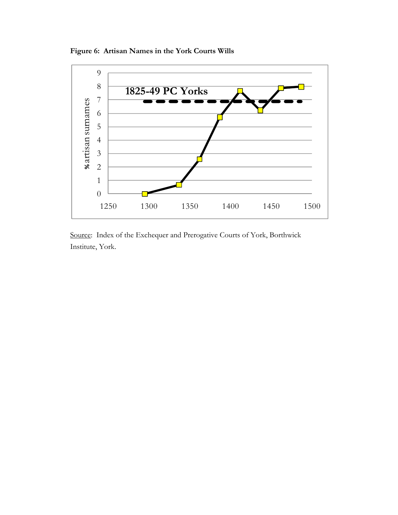**Figure 6: Artisan Names in the York Courts Wills** 



Source: Index of the Exchequer and Prerogative Courts of York, Borthwick Institute, York.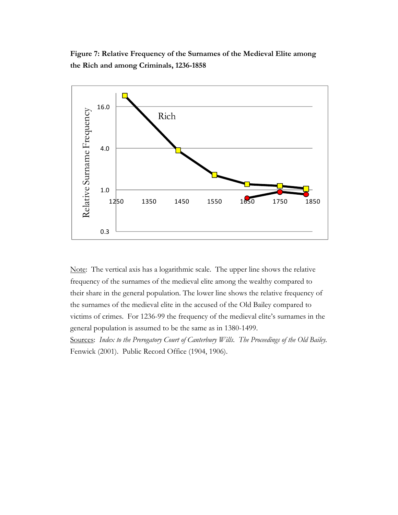**Figure 7: Relative Frequency of the Surnames of the Medieval Elite among the Rich and among Criminals, 1236-1858** 



Note: The vertical axis has a logarithmic scale. The upper line shows the relative frequency of the surnames of the medieval elite among the wealthy compared to their share in the general population. The lower line shows the relative frequency of the surnames of the medieval elite in the accused of the Old Bailey compared to victims of crimes. For 1236-99 the frequency of the medieval elite's surnames in the general population is assumed to be the same as in 1380-1499.

Sources: *Index to the Prerogatory Court of Canterbury Wills*. *The Proceedings of the Old Bailey.*  Fenwick (2001). Public Record Office (1904, 1906).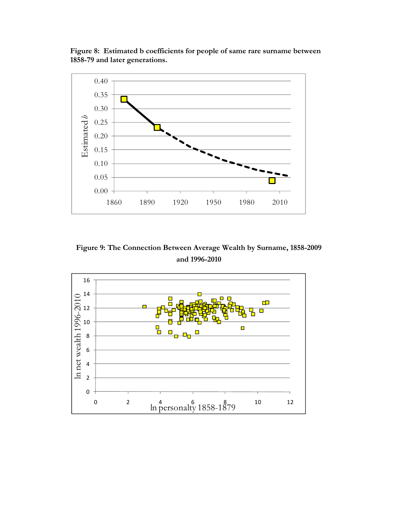**Figure 8: Estimated b coefficients for people of same rare surname between 1858-79 and later generations.** 



**Figure 9: The Connection Between Average Wealth by Surname, 1858-2009 and 1996-2010** 

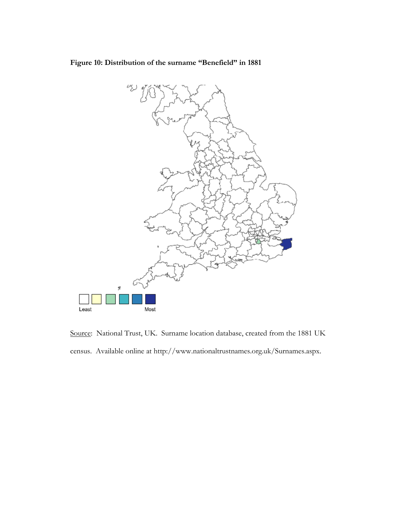**Figure 10: Distribution of the surname "Benefield" in 1881**



Source: National Trust, UK. Surname location database, created from the 1881 UK census. Available online at http://www.nationaltrustnames.org.uk/Surnames.aspx.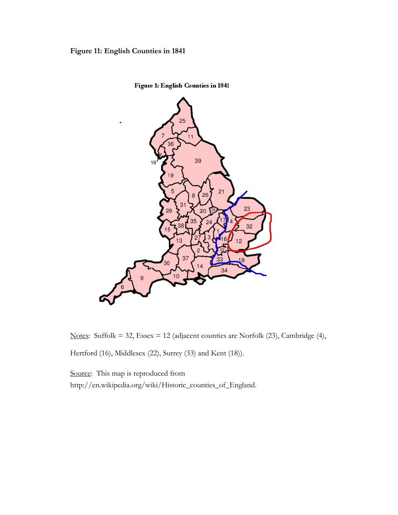# **Figure 11: English Counties in 1841**



**Figure 1: English Counties in 1841** 

Notes: Suffolk = 32, Essex = 12 (adjacent counties are Norfolk (23), Cambridge (4),

Hertford (16), Middlesex (22), Surrey (33) and Kent (18)).

Source: This map is reproduced from http://en.wikipedia.org/wiki/Historic\_counties\_of\_England.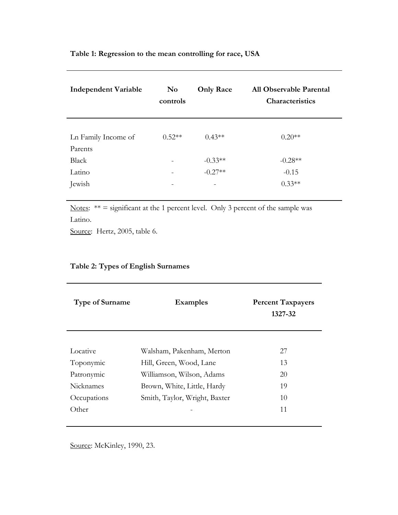| <b>Independent Variable</b> | $\mathbf{N}\mathbf{o}$<br>controls | <b>Only Race</b> | All Observable Parental<br>Characteristics |
|-----------------------------|------------------------------------|------------------|--------------------------------------------|
| Ln Family Income of         | $0.52**$                           | $0.43**$         | $0.20**$                                   |
| Parents                     |                                    |                  |                                            |
| Black                       |                                    | $-0.33**$        | $-0.28**$                                  |
| Latino                      |                                    | $-0.27**$        | $-0.15$                                    |
| Jewish                      |                                    |                  | $0.33**$                                   |

Notes:  $** =$  significant at the 1 percent level. Only 3 percent of the sample was Latino.

Source: Hertz, 2005, table 6.

| <b>Type of Surname</b> | <b>Examples</b>               | <b>Percent Taxpayers</b><br>1327-32 |
|------------------------|-------------------------------|-------------------------------------|
| Locative               | Walsham, Pakenham, Merton     | 27                                  |
| Toponymic              | Hill, Green, Wood, Lane       | 13                                  |
| Patronymic             | Williamson, Wilson, Adams     | 20                                  |
| <b>Nicknames</b>       | Brown, White, Little, Hardy   | 19                                  |
| Occupations            | Smith, Taylor, Wright, Baxter | 10                                  |
| Other                  |                               | 11                                  |

# **Table 2: Types of English Surnames**

Source: McKinley, 1990, 23.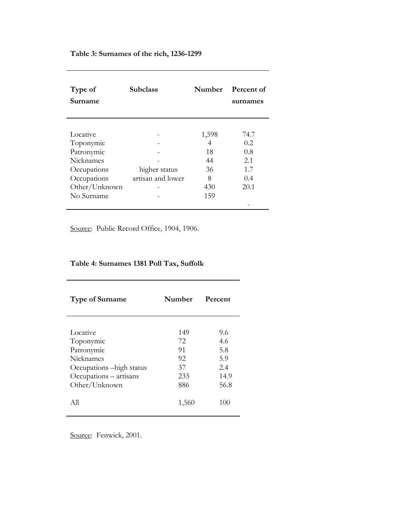### **Table 3: Surnames of the rich, 1236-1299**

| Type of<br>Surname | <b>Subclass</b>   | <b>Number</b> | Percent of<br>surnames |
|--------------------|-------------------|---------------|------------------------|
|                    |                   |               |                        |
| Locative           |                   | 1,598         | 74.7                   |
| Toponymic          |                   | 4             | 0.2.                   |
| Patronymic         |                   | 18            | 0.8                    |
| <b>Nicknames</b>   |                   | 44            | 2.1                    |
| Occupations        | higher status     | 36            | 1.7                    |
| Occupations        | artisan and lower | 8             | 0.4                    |
| Other/Unknown      |                   | 430           | 20.1                   |
| No Surname         |                   | 159           |                        |
|                    |                   |               |                        |

Source: Public Record Office, 1904, 1906.

# **Table 4: Surnames 1381 Poll Tax, Suffolk**

| <b>Type of Surname</b>    | Number | Percent |  |
|---------------------------|--------|---------|--|
|                           |        |         |  |
| Locative                  | 149    | 9.6     |  |
| Toponymic                 | 72.    | 4.6     |  |
| Patronymic                | 91     | 5.8     |  |
| Nicknames                 | 92     | 5.9     |  |
| Occupations – high status | 37     | 2.4     |  |
| Occupations – artisans    | 233    | 14.9    |  |
| Other/Unknown             | 886    | 56.8    |  |
| All                       | 1,560  | 100     |  |

Source: Fenwick, 2001.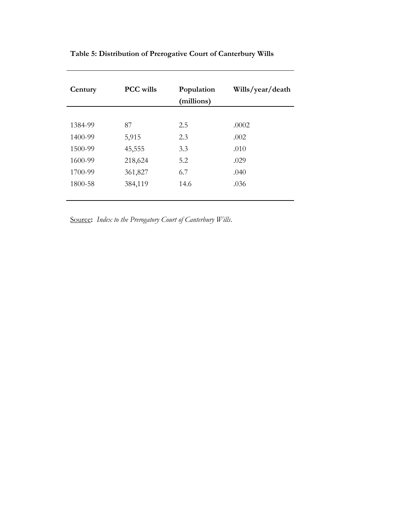| Century | <b>PCC</b> wills | Population<br>(millions) | Wills/year/death |
|---------|------------------|--------------------------|------------------|
|         |                  |                          |                  |
| 1384-99 | 87               | 2.5                      | .0002            |
| 1400-99 | 5,915            | 2.3                      | .002             |
| 1500-99 | 45,555           | 3.3                      | .010             |
| 1600-99 | 218,624          | 5.2                      | .029             |
| 1700-99 | 361,827          | 6.7                      | .040             |
| 1800-58 | 384,119          | 14.6                     | .036             |
|         |                  |                          |                  |

# **Table 5: Distribution of Prerogative Court of Canterbury Wills**

Source**:** *Index to the Prerogatory Court of Canterbury Wills*.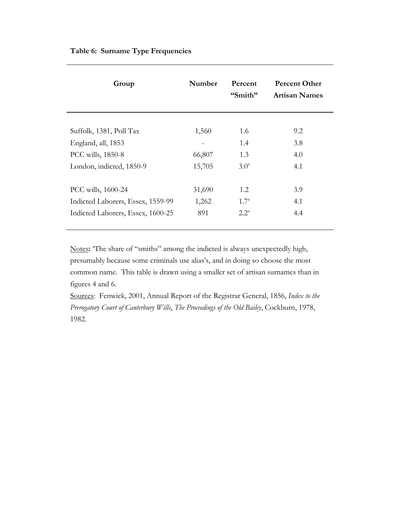| Group                             | Number | Percent<br>"Smith" | <b>Percent Other</b><br><b>Artisan Names</b> |
|-----------------------------------|--------|--------------------|----------------------------------------------|
|                                   |        |                    |                                              |
| Suffolk, 1381, Poll Tax           | 1,560  | 1.6                | 9.2                                          |
| England, all, 1853                |        | 1.4                | 3.8                                          |
| PCC wills, 1850-8                 | 66,807 | 1.3                | 4.0                                          |
| London, indicted, 1850-9          | 15,705 | 3.0 <sup>a</sup>   | 4.1                                          |
|                                   |        |                    |                                              |
| PCC wills, 1600-24                | 31,690 | 1.2                | 3.9                                          |
| Indicted Laborers, Essex, 1559-99 | 1,262  | $1.7^{\circ}$      | 4.1                                          |
| Indicted Laborers, Essex, 1600-25 | 891    | $2.2^{\circ}$      | 4.4                                          |
|                                   |        |                    |                                              |

Notes: "The share of "smiths" among the indicted is always unexpectedly high, presumably because some criminals use alias's, and in doing so choose the most common name. This table is drawn using a smaller set of artisan surnames than in figures 4 and 6.

Sources: Fenwick, 2001, Annual Report of the Registrar General, 1856, *Index to the Prerogatory Court of Canterbury Wills*, *The Proceedings of the Old Bailey*, Cockburn, 1978, 1982.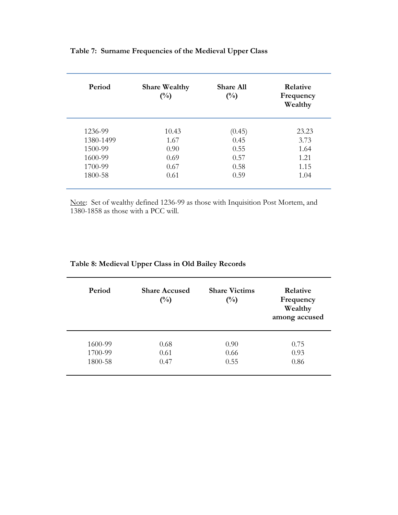| Period    | <b>Share Wealthy</b><br>$(^{0}/_{0})$ | <b>Share All</b><br>$(^{0}/_{0})$ | Relative<br>Frequency<br>Wealthy |
|-----------|---------------------------------------|-----------------------------------|----------------------------------|
| 1236-99   | 10.43                                 | (0.45)                            | 23.23                            |
| 1380-1499 | 1.67                                  | 0.45                              | 3.73                             |
| 1500-99   | 0.90                                  | 0.55                              | 1.64                             |
| 1600-99   | 0.69                                  | 0.57                              | 1.21                             |
| 1700-99   | 0.67                                  | 0.58                              | 1.15                             |
| 1800-58   | 0.61                                  | 0.59                              | 1.04                             |
|           |                                       |                                   |                                  |

# **Table 7: Surname Frequencies of the Medieval Upper Class**

Note: Set of wealthy defined 1236-99 as those with Inquisition Post Mortem, and 1380-1858 as those with a PCC will.

| Table 8: Medieval Upper Class in Old Bailey Records |  |
|-----------------------------------------------------|--|
|-----------------------------------------------------|--|

| Period  | <b>Share Accused</b><br>$\binom{0}{0}$ | <b>Share Victims</b><br>$\binom{0}{0}$ | Relative<br>Frequency<br>Wealthy<br>among accused |
|---------|----------------------------------------|----------------------------------------|---------------------------------------------------|
| 1600-99 | 0.68                                   | 0.90                                   | 0.75                                              |
| 1700-99 | 0.61                                   | 0.66                                   | 0.93                                              |
| 1800-58 | 0.47                                   | 0.55                                   | 0.86                                              |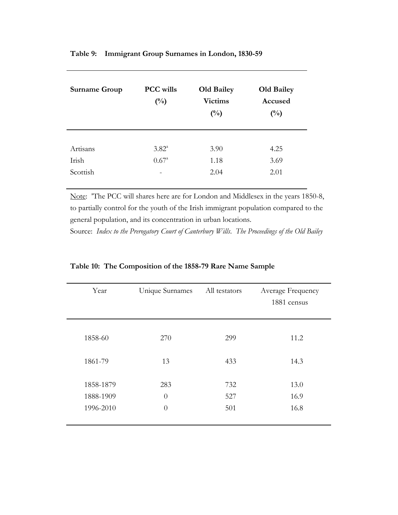| Table 9: Immigrant Group Surnames in London, 1830-59 |  |  |  |
|------------------------------------------------------|--|--|--|
|                                                      |  |  |  |

| <b>Surname Group</b> | <b>PCC</b> wills<br>$(^{0}/_{0})$ | <b>Old Bailey</b><br><b>Victims</b><br>$\binom{0}{0}$ | <b>Old Bailey</b><br>Accused<br>$\binom{0}{0}$ |
|----------------------|-----------------------------------|-------------------------------------------------------|------------------------------------------------|
| Artisans             | $3.82^{\circ}$                    | 3.90                                                  | 4.25                                           |
| Irish                | $0.67^{\circ}$                    | 1.18                                                  | 3.69                                           |
| Scottish             | -                                 | 2.04                                                  | 2.01                                           |

Note: "The PCC will shares here are for London and Middlesex in the years 1850-8, to partially control for the youth of the Irish immigrant population compared to the general population, and its concentration in urban locations.

Source: *Index to the Prerogatory Court of Canterbury Wills*. *The Proceedings of the Old Bailey*

| Year                                | Unique Surnames             | All testators     | Average Frequency<br>1881 census |
|-------------------------------------|-----------------------------|-------------------|----------------------------------|
| 1858-60                             | 270                         | 299               | 11.2                             |
| 1861-79                             | 13                          | 433               | 14.3                             |
| 1858-1879<br>1888-1909<br>1996-2010 | 283<br>$\theta$<br>$\theta$ | 732<br>527<br>501 | 13.0<br>16.9<br>16.8             |
|                                     |                             |                   |                                  |

**Table 10: The Composition of the 1858-79 Rare Name Sample**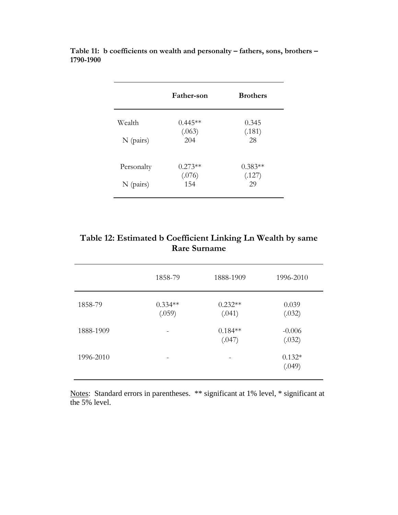|             | Father-son | <b>Brothers</b> |
|-------------|------------|-----------------|
| Wealth      | $0.445**$  | 0.345           |
|             | (.063)     | (.181)          |
| $N$ (pairs) | 204        | 28              |
| Personalty  | $0.273**$  | $0.383**$       |
|             | (.076)     | (.127)          |
| $N$ (pairs) | 154        | 29              |

**Table 11: b coefficients on wealth and personalty – fathers, sons, brothers – 1790-1900** 

| Table 12: Estimated b Coefficient Linking Ln Wealth by same |
|-------------------------------------------------------------|
| <b>Rare Surname</b>                                         |

|           | 1858-79             | 1888-1909           | 1996-2010          |  |
|-----------|---------------------|---------------------|--------------------|--|
| 1858-79   | $0.334**$<br>(.059) | $0.232**$<br>(.041) | 0.039<br>(.032)    |  |
| 1888-1909 |                     | $0.184**$<br>(.047) | $-0.006$<br>(.032) |  |
| 1996-2010 |                     |                     | $0.132*$<br>(.049) |  |
|           |                     |                     |                    |  |

Notes: Standard errors in parentheses. \*\* significant at 1% level, \* significant at the 5% level.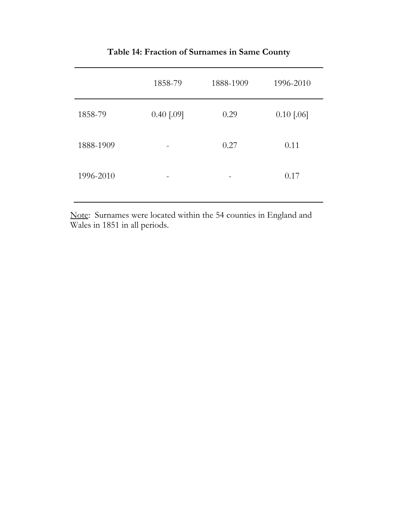|           | 1858-79      | 1888-1909 | 1996-2010    |
|-----------|--------------|-----------|--------------|
| 1858-79   | $0.40$ [.09] | 0.29      | $0.10$ [.06] |
| 1888-1909 |              | 0.27      | 0.11         |
| 1996-2010 |              | -         | 0.17         |

**Table 14: Fraction of Surnames in Same County** 

Note: Surnames were located within the 54 counties in England and Wales in 1851 in all periods.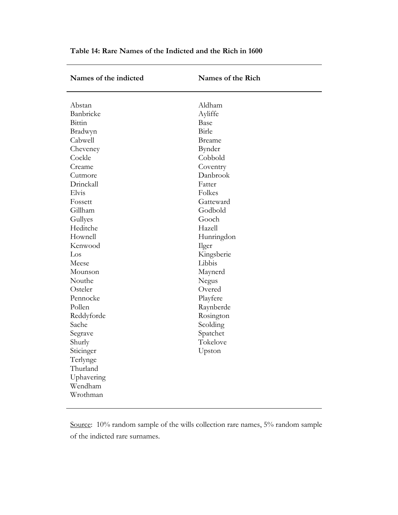| Names of the indicted                                                                                                                                                                                                                                                                                                                                                               | Names of the Rich                                                                                                                                                                                                                                                                                                                |
|-------------------------------------------------------------------------------------------------------------------------------------------------------------------------------------------------------------------------------------------------------------------------------------------------------------------------------------------------------------------------------------|----------------------------------------------------------------------------------------------------------------------------------------------------------------------------------------------------------------------------------------------------------------------------------------------------------------------------------|
| Abstan<br>Banbricke<br>Bittin<br>Bradwyn<br>Cabwell<br>Cheveney<br>Cockle<br>Creame<br>Cutmore<br>Drinckall<br>Elvis<br>Fossett<br>Gillham<br>Gullyes<br>Heditche<br>Hownell<br>Kenwood<br>Los<br>Meese<br>Mounson<br>Nouthe<br>Osteler<br>Pennocke<br>Pollen<br>Reddyforde<br>Sache<br>Segrave<br>Shurly<br>Sticinger<br>Terlynge<br>Thurland<br>Uphavering<br>Wendham<br>Wrothman | Aldham<br>Ayliffe<br>Base<br>Birle<br><b>Breame</b><br>Bynder<br>Cobbold<br>Coventry<br>Danbrook<br>Fatter<br>Folkes<br>Gatteward<br>Godbold<br>Gooch<br>Hazell<br>Hunringdon<br>Ilger<br>Kingsberie<br>Libbis<br>Maynerd<br>Negus<br>Overed<br>Playfere<br>Raynberde<br>Rosington<br>Scolding<br>Spatchet<br>Tokelove<br>Upston |
|                                                                                                                                                                                                                                                                                                                                                                                     |                                                                                                                                                                                                                                                                                                                                  |

**Table 14: Rare Names of the Indicted and the Rich in 1600** 

Source: 10% random sample of the wills collection rare names, 5% random sample of the indicted rare surnames.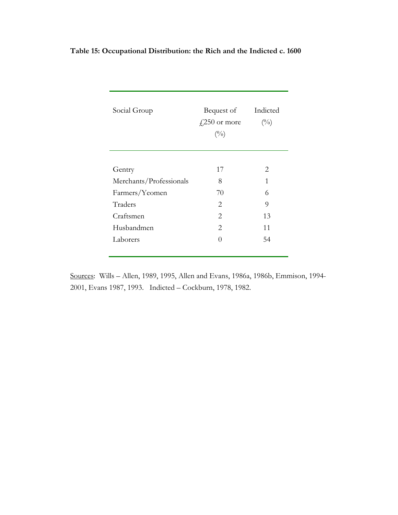| Social Group            | Bequest of<br>$\frac{1}{2}250$ or more<br>$(^{0}/_{0})$ | Indicted<br>(0/0) |
|-------------------------|---------------------------------------------------------|-------------------|
|                         |                                                         |                   |
| Gentry                  | 17                                                      | 2                 |
| Merchants/Professionals | 8                                                       | 1                 |
| Farmers/Yeomen          | 70                                                      | 6                 |
| Traders                 | 2                                                       | 9                 |
| Craftsmen               | 2                                                       | 13                |
| Husbandmen              | 2                                                       | 11                |
| Laborers                | ∩                                                       | 54                |
|                         |                                                         |                   |

# **Table 15: Occupational Distribution: the Rich and the Indicted c. 1600**

Sources: Wills – Allen, 1989, 1995, Allen and Evans, 1986a, 1986b, Emmison, 1994- 2001, Evans 1987, 1993. Indicted – Cockburn, 1978, 1982.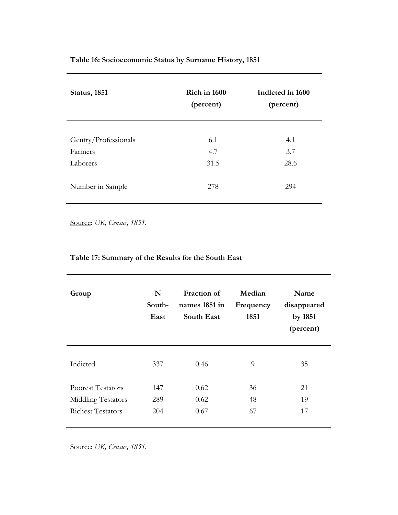| <b>Status</b> , 1851 | <b>Rich in 1600</b><br>(percent) | Indicted in 1600<br>(percent) |
|----------------------|----------------------------------|-------------------------------|
|                      |                                  |                               |
| Gentry/Professionals | 6.1                              | 4.1                           |
| Farmers              | 4.7                              | 3.7                           |
| Laborers             | 31.5                             | 28.6                          |
|                      |                                  |                               |
| Number in Sample     | 278                              | 294                           |

Source: *UK, Census, 1851.* 

# **Table 17: Summary of the Results for the South East**

| Group                                                                      | N<br>South-<br>East | <b>Fraction of</b><br>names 1851 in<br>South East | Median<br>Frequency<br>1851 | Name<br>disappeared<br>by 1851<br>(percent) |
|----------------------------------------------------------------------------|---------------------|---------------------------------------------------|-----------------------------|---------------------------------------------|
| Indicted                                                                   | 337                 | 0.46                                              | 9                           | 35                                          |
| <b>Poorest Testators</b><br>Middling Testators<br><b>Richest Testators</b> | 147<br>289<br>204   | 0.62<br>0.62<br>0.67                              | 36<br>48<br>67              | 21<br>19<br>17                              |

Source: *UK, Census, 1851.*